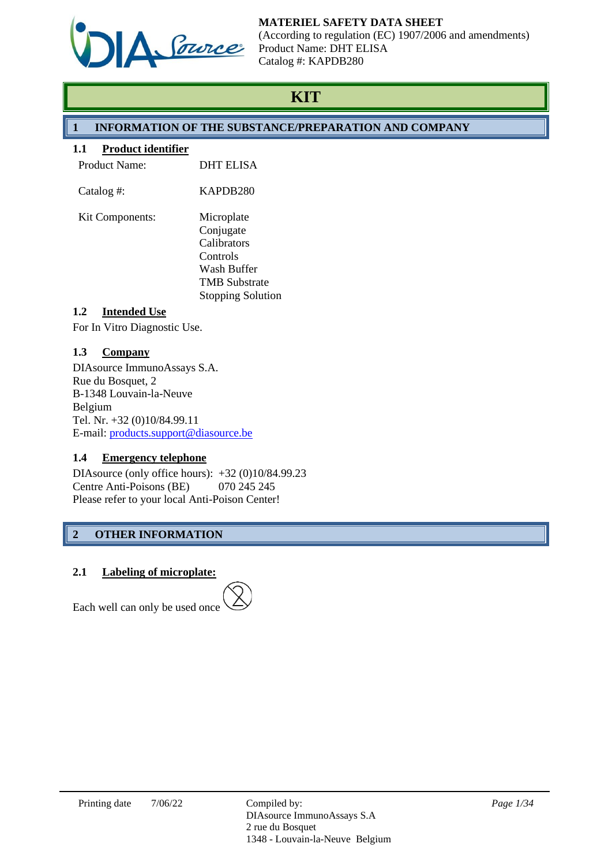

# **MATERIEL SAFETY DATA SHEET**

(According to regulation (EC) 1907/2006 and amendments) Product Name: DHT ELISA Catalog #: KAPDB280

# **KIT**

# **1 INFORMATION OF THE SUBSTANCE/PREPARATION AND COMPANY**

# **1.1 Product identifier**

| <b>Product Name:</b> | <b>DHT ELISA</b>                                                                                                      |
|----------------------|-----------------------------------------------------------------------------------------------------------------------|
| Catalog #:           | KAPDB280                                                                                                              |
| Kit Components:      | Microplate<br>Conjugate<br>Calibrators<br>Controls<br>Wash Buffer<br><b>TMB Substrate</b><br><b>Stopping Solution</b> |

# **1.2 Intended Use**

For In Vitro Diagnostic Use.

# **1.3 Company**

DIAsource ImmunoAssays S.A. Rue du Bosquet, 2 B-1348 Louvain-la-Neuve Belgium Tel. Nr. +32 (0)10/84.99.11 E-mail: [products.support@diasource.be](mailto:products.support@diasource.be)

# **1.4 Emergency telephone**

DIAsource (only office hours): +32 (0)10/84.99.23 Centre Anti-Poisons (BE) 070 245 245 Please refer to your local Anti-Poison Center!

# **2 OTHER INFORMATION**

# **2.1 Labeling of microplate:**

Each well can only be used once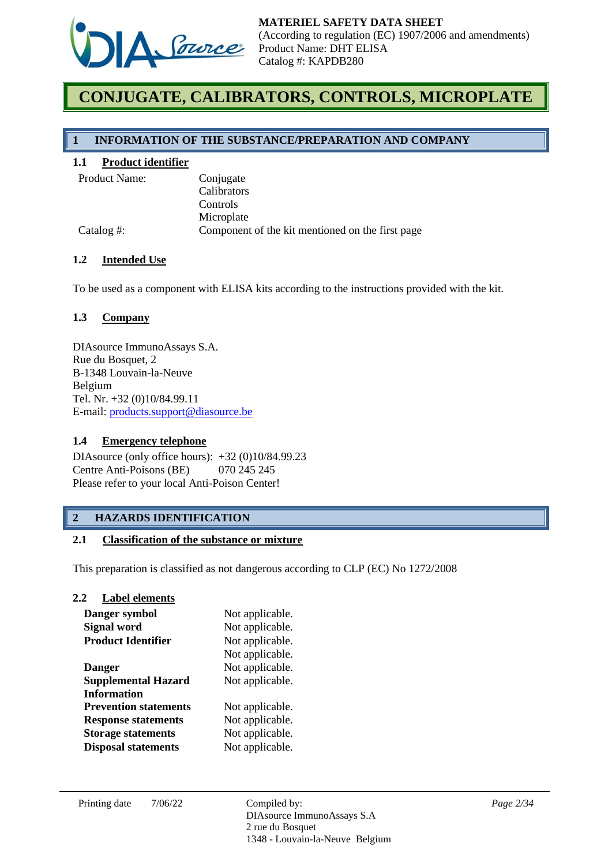

# **CONJUGATE, CALIBRATORS, CONTROLS, MICROPLATE**

### **1 INFORMATION OF THE SUBSTANCE/PREPARATION AND COMPANY**

### **1.1 Product identifier**

Conjugate Calibrators Controls Microplate Catalog #: Component of the kit mentioned on the first page

#### **1.2 Intended Use**

To be used as a component with ELISA kits according to the instructions provided with the kit.

### **1.3 Company**

DIAsource ImmunoAssays S.A. Rue du Bosquet, 2 B-1348 Louvain-la-Neuve Belgium Tel. Nr. +32 (0)10/84.99.11 E-mail: [products.support@diasource.be](mailto:tech.support@diasource.be)

#### **1.4 Emergency telephone**

DIAsource (only office hours): +32 (0)10/84.99.23 Centre Anti-Poisons (BE) 070 245 245 Please refer to your local Anti-Poison Center!

# **2 HAZARDS IDENTIFICATION**

#### **2.1 Classification of the substance or mixture**

This preparation is classified as not dangerous according to CLP (EC) No 1272/2008

#### **2.2 Label elements**

| Danger symbol                | Not applicable. |
|------------------------------|-----------------|
| <b>Signal word</b>           | Not applicable. |
| <b>Product Identifier</b>    | Not applicable. |
|                              | Not applicable. |
| <b>Danger</b>                | Not applicable. |
| <b>Supplemental Hazard</b>   | Not applicable. |
| <b>Information</b>           |                 |
| <b>Prevention statements</b> | Not applicable. |
| <b>Response statements</b>   | Not applicable. |
| <b>Storage statements</b>    | Not applicable. |
| <b>Disposal statements</b>   | Not applicable. |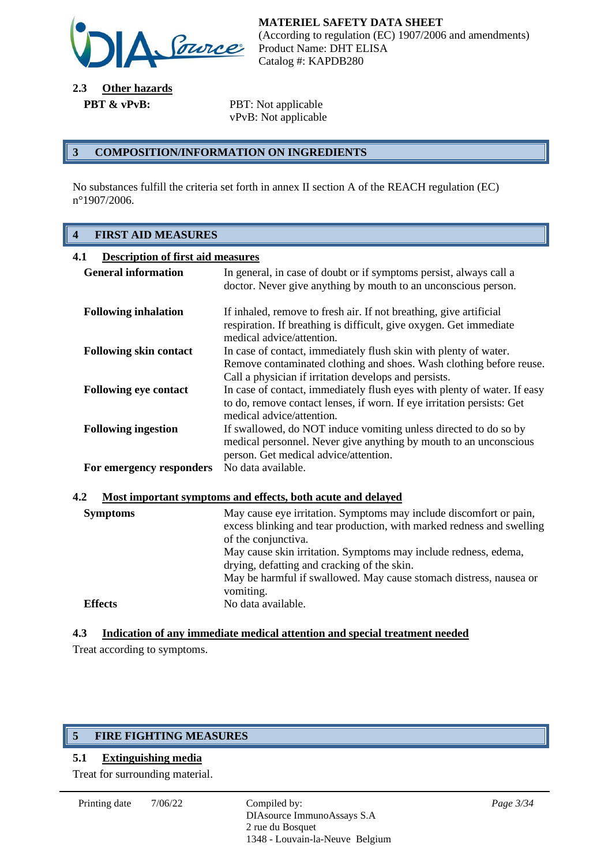

**2.3 Other hazards PBT & vPvB:** PBT: Not applicable

vPvB: Not applicable

### **3 COMPOSITION/INFORMATION ON INGREDIENTS**

No substances fulfill the criteria set forth in annex II section A of the REACH regulation (EC) n°1907/2006.

# **4 FIRST AID MEASURES**

| <b>Description of first aid measures</b><br>4.1                    |                                                                                                                                                                                                  |  |
|--------------------------------------------------------------------|--------------------------------------------------------------------------------------------------------------------------------------------------------------------------------------------------|--|
| <b>General information</b>                                         | In general, in case of doubt or if symptoms persist, always call a<br>doctor. Never give anything by mouth to an unconscious person.                                                             |  |
| <b>Following inhalation</b>                                        | If inhaled, remove to fresh air. If not breathing, give artificial<br>respiration. If breathing is difficult, give oxygen. Get immediate<br>medical advice/attention.                            |  |
| <b>Following skin contact</b>                                      | In case of contact, immediately flush skin with plenty of water.<br>Remove contaminated clothing and shoes. Wash clothing before reuse.<br>Call a physician if irritation develops and persists. |  |
| <b>Following eye contact</b>                                       | In case of contact, immediately flush eyes with plenty of water. If easy<br>to do, remove contact lenses, if worn. If eye irritation persists: Get<br>medical advice/attention.                  |  |
| <b>Following ingestion</b>                                         | If swallowed, do NOT induce vomiting unless directed to do so by<br>medical personnel. Never give anything by mouth to an unconscious<br>person. Get medical advice/attention.                   |  |
| For emergency responders                                           | No data available.                                                                                                                                                                               |  |
| 4.2<br>Most important symptoms and effects, both acute and delayed |                                                                                                                                                                                                  |  |

| <b>Symptoms</b> | May cause eye irritation. Symptoms may include discomfort or pain,<br>excess blinking and tear production, with marked redness and swelling<br>of the conjunctiva.<br>May cause skin irritation. Symptoms may include redness, edema,<br>drying, defatting and cracking of the skin.<br>May be harmful if swallowed. May cause stomach distress, nausea or<br>vomiting. |
|-----------------|-------------------------------------------------------------------------------------------------------------------------------------------------------------------------------------------------------------------------------------------------------------------------------------------------------------------------------------------------------------------------|
| <b>Effects</b>  | No data available.                                                                                                                                                                                                                                                                                                                                                      |

# **4.3 Indication of any immediate medical attention and special treatment needed**

Treat according to symptoms.

# **5 FIRE FIGHTING MEASURES**

## **5.1 Extinguishing media**

Treat for surrounding material.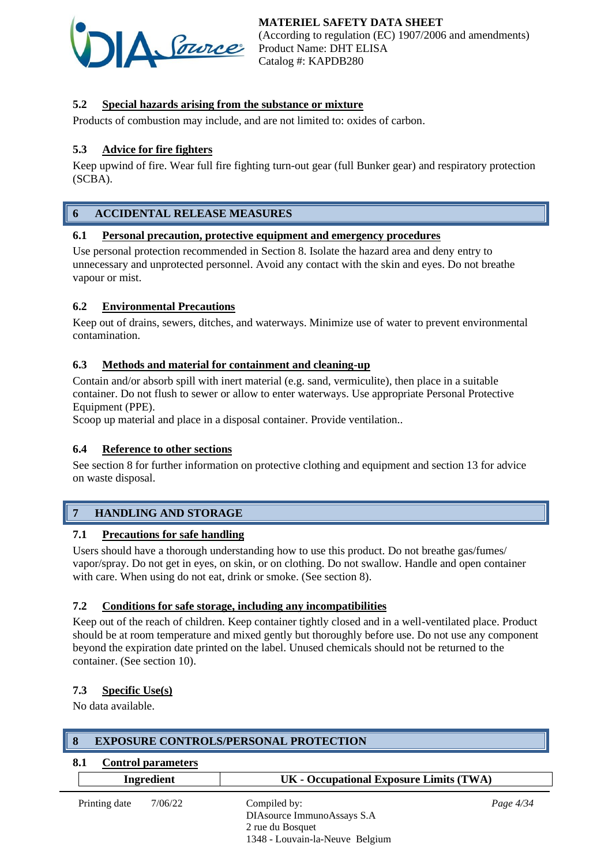

# **5.2 Special hazards arising from the substance or mixture**

Products of combustion may include, and are not limited to: oxides of carbon.

# **5.3 Advice for fire fighters**

Keep upwind of fire. Wear full fire fighting turn-out gear (full Bunker gear) and respiratory protection (SCBA).

# **6 ACCIDENTAL RELEASE MEASURES**

#### **6.1 Personal precaution, protective equipment and emergency procedures**

Use personal protection recommended in Section 8. Isolate the hazard area and deny entry to unnecessary and unprotected personnel. Avoid any contact with the skin and eyes. Do not breathe vapour or mist.

#### **6.2 Environmental Precautions**

Keep out of drains, sewers, ditches, and waterways. Minimize use of water to prevent environmental contamination.

### **6.3 Methods and material for containment and cleaning-up**

Contain and/or absorb spill with inert material (e.g. sand, vermiculite), then place in a suitable container. Do not flush to sewer or allow to enter waterways. Use appropriate Personal Protective Equipment (PPE).

Scoop up material and place in a disposal container. Provide ventilation..

#### **6.4 Reference to other sections**

See section 8 for further information on protective clothing and equipment and section 13 for advice on waste disposal.

# **7 HANDLING AND STORAGE**

#### **7.1 Precautions for safe handling**

Users should have a thorough understanding how to use this product. Do not breathe gas/fumes/ vapor/spray. Do not get in eyes, on skin, or on clothing. Do not swallow. Handle and open container with care. When using do not eat, drink or smoke. (See section 8).

#### **7.2 Conditions for safe storage, including any incompatibilities**

Keep out of the reach of children. Keep container tightly closed and in a well-ventilated place. Product should be at room temperature and mixed gently but thoroughly before use. Do not use any component beyond the expiration date printed on the label. Unused chemicals should not be returned to the container. (See section 10).

#### **7.3 Specific Use(s)**

No data available.

#### **8 EXPOSURE CONTROLS/PERSONAL PROTECTION**

#### **8.1 Control parameters**

|               | Ingredient | UK - Occupational Exposure Limits (TWA)                                                           |             |
|---------------|------------|---------------------------------------------------------------------------------------------------|-------------|
| Printing date | 7/06/22    | Compiled by:<br>DIAsource ImmunoAssays S.A<br>2 rue du Bosquet<br>1348 - Louvain-la-Neuve Belgium | Page $4/34$ |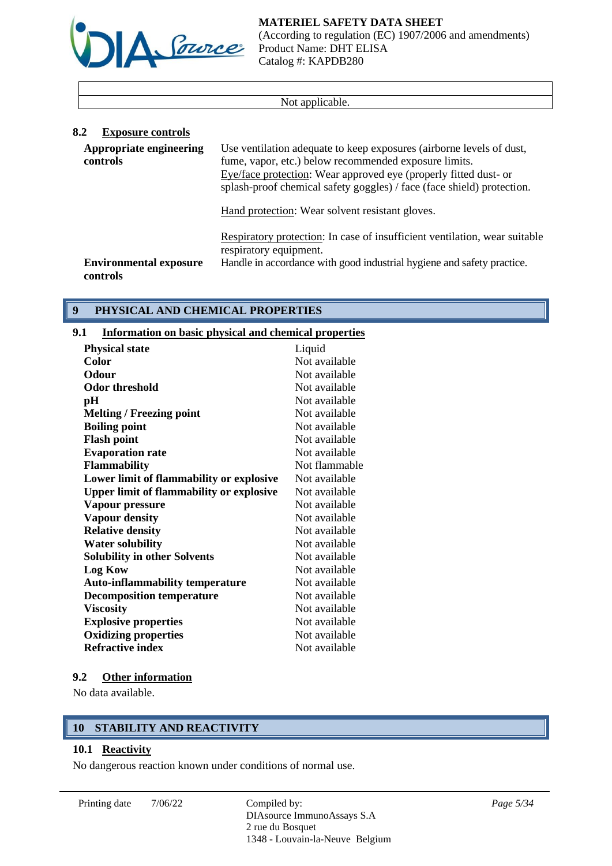



(According to regulation (EC) 1907/2006 and amendments) Product Name: DHT ELISA Catalog #: KAPDB280

#### Not applicable.

| 8.2<br><b>Exposure controls</b>           |                                                                                                                                                                                                                                                                             |
|-------------------------------------------|-----------------------------------------------------------------------------------------------------------------------------------------------------------------------------------------------------------------------------------------------------------------------------|
| Appropriate engineering<br>controls       | Use ventilation adequate to keep exposures (airborne levels of dust,<br>fume, vapor, etc.) below recommended exposure limits.<br>Eye/face protection: Wear approved eye (properly fitted dust- or<br>splash-proof chemical safety goggles) / face (face shield) protection. |
|                                           | Hand protection: Wear solvent resistant gloves.                                                                                                                                                                                                                             |
|                                           | Respiratory protection: In case of insufficient ventilation, wear suitable<br>respiratory equipment.                                                                                                                                                                        |
| <b>Environmental exposure</b><br>controls | Handle in accordance with good industrial hygiene and safety practice.                                                                                                                                                                                                      |

# **9 PHYSICAL AND CHEMICAL PROPERTIES**

# **9.1 Information on basic physical and chemical properties**

| <b>Physical state</b>                           | Liquid        |
|-------------------------------------------------|---------------|
| Color                                           | Not available |
| Odour                                           | Not available |
| Odor threshold                                  | Not available |
| pН                                              | Not available |
| <b>Melting / Freezing point</b>                 | Not available |
| <b>Boiling point</b>                            | Not available |
| <b>Flash point</b>                              | Not available |
| <b>Evaporation rate</b>                         | Not available |
| <b>Flammability</b>                             | Not flammable |
| Lower limit of flammability or explosive        | Not available |
| <b>Upper limit of flammability or explosive</b> | Not available |
| Vapour pressure                                 | Not available |
| <b>Vapour density</b>                           | Not available |
| <b>Relative density</b>                         | Not available |
| <b>Water solubility</b>                         | Not available |
| <b>Solubility in other Solvents</b>             | Not available |
| <b>Log Kow</b>                                  | Not available |
| <b>Auto-inflammability temperature</b>          | Not available |
| <b>Decomposition temperature</b>                | Not available |
| <b>Viscosity</b>                                | Not available |
| <b>Explosive properties</b>                     | Not available |
| <b>Oxidizing properties</b>                     | Not available |
| <b>Refractive index</b>                         | Not available |
|                                                 |               |

# **9.2 Other information**

No data available.

# **10 STABILITY AND REACTIVITY**

# **10.1 Reactivity**

No dangerous reaction known under conditions of normal use.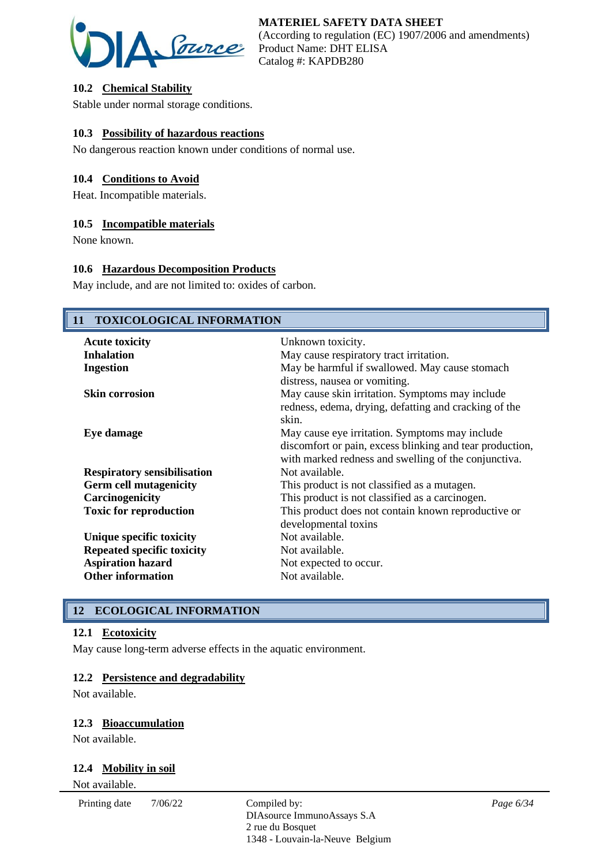

# **10.2 Chemical Stability**

Stable under normal storage conditions.

### **10.3 Possibility of hazardous reactions**

No dangerous reaction known under conditions of normal use.

#### **10.4 Conditions to Avoid**

Heat. Incompatible materials.

#### **10.5 Incompatible materials**

None known.

### **10.6 Hazardous Decomposition Products**

May include, and are not limited to: oxides of carbon.

# **11 TOXICOLOGICAL INFORMATION** Acute toxicity Unknown toxicity. **Inhalation** May cause respiratory tract irritation. **Ingestion** May be harmful if swallowed. May cause stomach distress, nausea or vomiting. **Skin corrosion** May cause skin irritation. Symptoms may include redness, edema, drying, defatting and cracking of the skin. **Eye damage** May cause eye irritation. Symptoms may include discomfort or pain, excess blinking and tear production, with marked redness and swelling of the conjunctiva. **Respiratory sensibilisation** Not available. **Germ cell mutagenicity** This product is not classified as a mutagen. **Carcinogenicity** This product is not classified as a carcinogen. **Toxic for reproduction** This product does not contain known reproductive or developmental toxins **Unique specific toxicity** Not available. **Repeated specific toxicity** Not available. **Aspiration hazard** Not expected to occur.<br> **Other information** Not available. **Other information**

# **12 ECOLOGICAL INFORMATION**

#### **12.1 Ecotoxicity**

May cause long-term adverse effects in the aquatic environment.

#### **12.2 Persistence and degradability**

Not available.

#### **12.3 Bioaccumulation**

Not available.

#### **12.4 Mobility in soil**

Not available.

Printing date  $7/06/22$  Compiled by:

DIAsource ImmunoAssays S.A 2 rue du Bosquet 1348 - Louvain-la-Neuve Belgium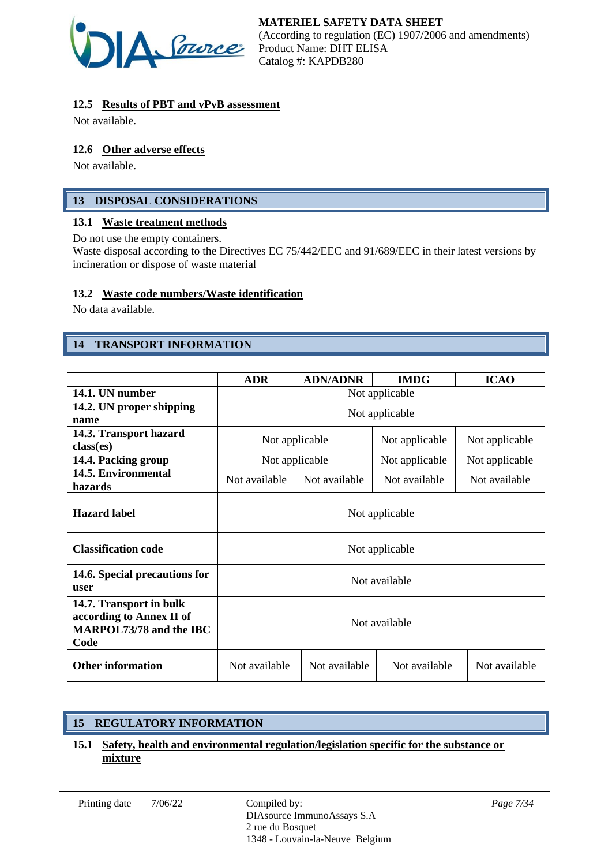

# **12.5 Results of PBT and vPvB assessment**

Not available.

# **12.6 Other adverse effects**

Not available.

# **13 DISPOSAL CONSIDERATIONS**

#### **13.1 Waste treatment methods**

Do not use the empty containers.

Waste disposal according to the Directives EC 75/442/EEC and 91/689/EEC in their latest versions by incineration or dispose of waste material

# **13.2 Waste code numbers/Waste identification**

No data available.

# **14 TRANSPORT INFORMATION**

|                                                                                               | <b>ADR</b>                       | <b>ADN/ADNR</b> | <b>IMDG</b>    | <b>ICAO</b>    |
|-----------------------------------------------------------------------------------------------|----------------------------------|-----------------|----------------|----------------|
| 14.1. UN number                                                                               | Not applicable                   |                 |                |                |
| 14.2. UN proper shipping                                                                      |                                  |                 |                |                |
| name                                                                                          | Not applicable                   |                 |                |                |
| 14.3. Transport hazard                                                                        | Not applicable<br>Not applicable |                 | Not applicable |                |
| class(es)                                                                                     |                                  |                 |                |                |
| 14.4. Packing group                                                                           |                                  | Not applicable  | Not applicable | Not applicable |
| 14.5. Environmental                                                                           | Not available                    | Not available   | Not available  | Not available  |
| hazards                                                                                       |                                  |                 |                |                |
| <b>Hazard label</b>                                                                           | Not applicable                   |                 |                |                |
| <b>Classification code</b>                                                                    | Not applicable                   |                 |                |                |
| 14.6. Special precautions for<br>user                                                         | Not available                    |                 |                |                |
| 14.7. Transport in bulk<br>according to Annex II of<br><b>MARPOL73/78 and the IBC</b><br>Code | Not available                    |                 |                |                |
| <b>Other information</b>                                                                      | Not available                    | Not available   | Not available  | Not available  |

# **15 REGULATORY INFORMATION**

### **15.1 Safety, health and environmental regulation/legislation specific for the substance or mixture**

Printing date  $7/06/22$  Compiled by: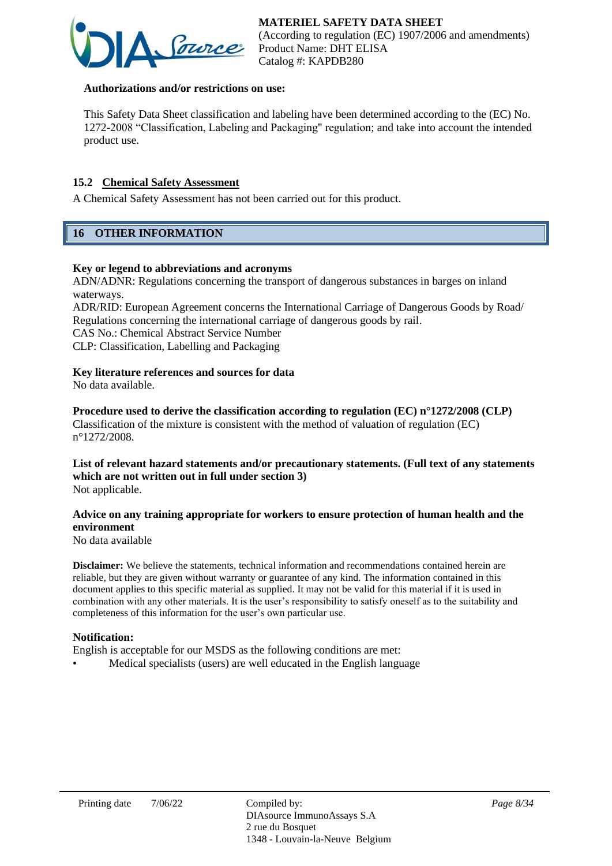

#### **Authorizations and/or restrictions on use:**

This Safety Data Sheet classification and labeling have been determined according to the (EC) No. 1272-2008 "Classification, Labeling and Packaging" regulation; and take into account the intended product use.

# **15.2 Chemical Safety Assessment**

A Chemical Safety Assessment has not been carried out for this product.

# **16 OTHER INFORMATION**

#### **Key or legend to abbreviations and acronyms**

ADN/ADNR: Regulations concerning the transport of dangerous substances in barges on inland waterways.

ADR/RID: European Agreement concerns the International Carriage of Dangerous Goods by Road/ Regulations concerning the international carriage of dangerous goods by rail. CAS No.: Chemical Abstract Service Number CLP: Classification, Labelling and Packaging

**Key literature references and sources for data**

No data available.

**Procedure used to derive the classification according to regulation (EC) n°1272/2008 (CLP)** Classification of the mixture is consistent with the method of valuation of regulation (EC) n°1272/2008.

#### **List of relevant hazard statements and/or precautionary statements. (Full text of any statements which are not written out in full under section 3)** Not applicable.

### **Advice on any training appropriate for workers to ensure protection of human health and the environment**

No data available

**Disclaimer:** We believe the statements, technical information and recommendations contained herein are reliable, but they are given without warranty or guarantee of any kind. The information contained in this document applies to this specific material as supplied. It may not be valid for this material if it is used in combination with any other materials. It is the user's responsibility to satisfy oneself as to the suitability and completeness of this information for the user's own particular use.

#### **Notification:**

English is acceptable for our MSDS as the following conditions are met:

• Medical specialists (users) are well educated in the English language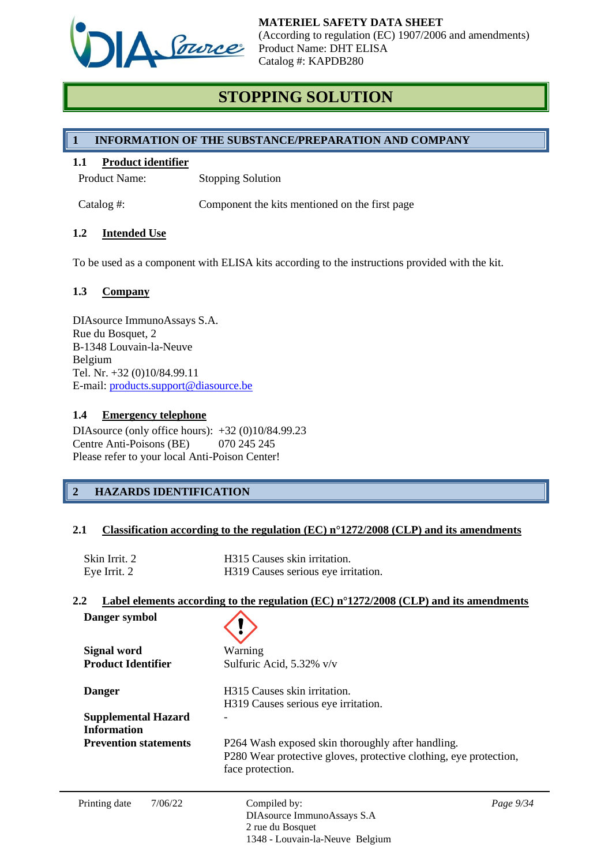

# **STOPPING SOLUTION**

# **1 INFORMATION OF THE SUBSTANCE/PREPARATION AND COMPANY**

### **1.1 Product identifier**

Product Name: Stopping Solution

Catalog #: Component the kits mentioned on the first page

### **1.2 Intended Use**

To be used as a component with ELISA kits according to the instructions provided with the kit.

### **1.3 Company**

DIAsource ImmunoAssays S.A. Rue du Bosquet, 2 B-1348 Louvain-la-Neuve Belgium Tel. Nr. +32 (0)10/84.99.11 E-mail: [products.support@diasource.be](mailto:products.support@diasource.be)

#### **1.4 Emergency telephone**

DIAsource (only office hours): +32 (0)10/84.99.23 Centre Anti-Poisons (BE) 070 245 245 Please refer to your local Anti-Poison Center!

# **2 HAZARDS IDENTIFICATION**

#### **2.1 Classification according to the regulation (EC) n°1272/2008 (CLP) and its amendments**

| Skin Irrit. 2 | H315 Causes skin irritation.        |
|---------------|-------------------------------------|
| Eye Irrit. 2  | H319 Causes serious eye irritation. |

#### **2.2 Label elements according to the regulation (EC) n°1272/2008 (CLP) and its amendments**

| Danger symbol                |                                                                                       |           |  |
|------------------------------|---------------------------------------------------------------------------------------|-----------|--|
| <b>Signal word</b>           | Warning                                                                               |           |  |
| <b>Product Identifier</b>    | Sulfuric Acid, 5.32% v/v                                                              |           |  |
| <b>Danger</b>                | H315 Causes skin irritation.                                                          |           |  |
|                              | H319 Causes serious eye irritation.                                                   |           |  |
| <b>Supplemental Hazard</b>   |                                                                                       |           |  |
| <b>Information</b>           |                                                                                       |           |  |
| <b>Prevention statements</b> | P264 Wash exposed skin thoroughly after handling.                                     |           |  |
|                              | P280 Wear protective gloves, protective clothing, eye protection,<br>face protection. |           |  |
| Printing date<br>7/06/22     | Compiled by:                                                                          | Page 9/34 |  |
|                              | DIAsource ImmunoAssays S.A                                                            |           |  |
|                              | 2 rue du Bosquet                                                                      |           |  |
|                              | 1348 - Louvain-la-Neuve Belgium                                                       |           |  |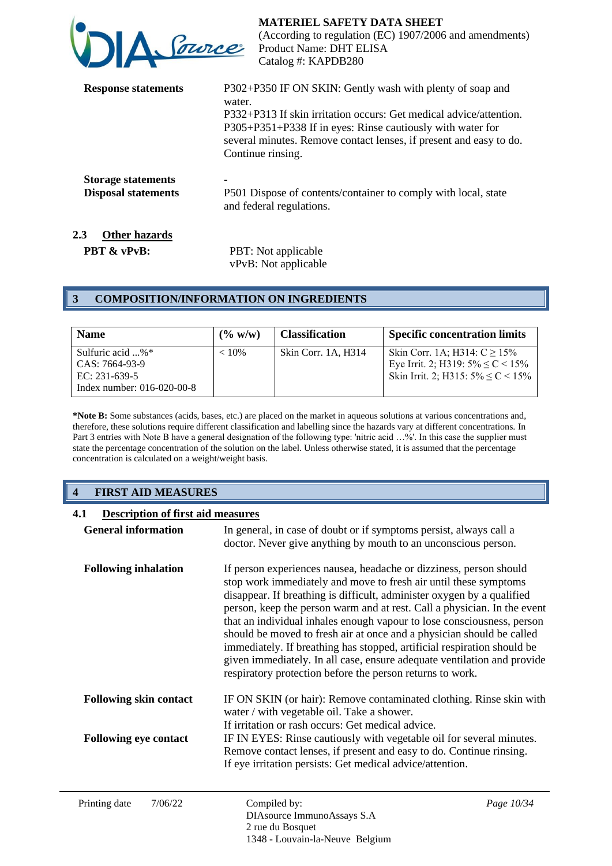| DA Parce                                                                        | <b>MATERIEL SAFETY DATA SHEET</b><br>(According to regulation (EC) 1907/2006 and amendments)<br>Product Name: DHT ELISA<br>Catalog #: KAPDB280                                                                                                                                                     |
|---------------------------------------------------------------------------------|----------------------------------------------------------------------------------------------------------------------------------------------------------------------------------------------------------------------------------------------------------------------------------------------------|
| <b>Response statements</b>                                                      | P302+P350 IF ON SKIN: Gently wash with plenty of soap and<br>water.<br>P332+P313 If skin irritation occurs: Get medical advice/attention.<br>P305+P351+P338 If in eyes: Rinse cautiously with water for<br>several minutes. Remove contact lenses, if present and easy to do.<br>Continue rinsing. |
| <b>Storage statements</b><br><b>Disposal statements</b><br>2.3<br>Other hazards | P501 Dispose of contents/container to comply with local, state<br>and federal regulations.                                                                                                                                                                                                         |

**PBT & vPvB:** PBT: Not applicable vPvB: Not applicable

# **3 COMPOSITION/INFORMATION ON INGREDIENTS**

| <b>Name</b>                                                    | $($ % w/w) | <b>Classification</b> | <b>Specific concentration limits</b>                                                                                     |
|----------------------------------------------------------------|------------|-----------------------|--------------------------------------------------------------------------------------------------------------------------|
| Sulfuric acid $\ldots$ %*<br>CAS: 7664-93-9<br>EC: $231-639-5$ | $< 10\%$   | Skin Corr. 1A. H314   | Skin Corr. 1A; H314: $C \ge 15\%$<br>Eye Irrit. 2; H319: $5\% \leq C < 15\%$<br>Skin Irrit. 2; H315: $5\% \leq C < 15\%$ |
| Index number: 016-020-00-8                                     |            |                       |                                                                                                                          |

**\*Note B:** Some substances (acids, bases, etc.) are placed on the market in aqueous solutions at various concentrations and, therefore, these solutions require different classification and labelling since the hazards vary at different concentrations. In Part 3 entries with Note B have a general designation of the following type: 'nitric acid ...%'. In this case the supplier must state the percentage concentration of the solution on the label. Unless otherwise stated, it is assumed that the percentage concentration is calculated on a weight/weight basis.

# **4 FIRST AID MEASURES**

| 4.1<br><b>Description of first aid measures</b> |                                                                                                                                                                                                                                                                                                                                                                                                                                                                                                                                                                                                                                                                    |            |
|-------------------------------------------------|--------------------------------------------------------------------------------------------------------------------------------------------------------------------------------------------------------------------------------------------------------------------------------------------------------------------------------------------------------------------------------------------------------------------------------------------------------------------------------------------------------------------------------------------------------------------------------------------------------------------------------------------------------------------|------------|
| <b>General information</b>                      | In general, in case of doubt or if symptoms persist, always call a<br>doctor. Never give anything by mouth to an unconscious person.                                                                                                                                                                                                                                                                                                                                                                                                                                                                                                                               |            |
| <b>Following inhalation</b>                     | If person experiences nausea, headache or dizziness, person should<br>stop work immediately and move to fresh air until these symptoms<br>disappear. If breathing is difficult, administer oxygen by a qualified<br>person, keep the person warm and at rest. Call a physician. In the event<br>that an individual inhales enough vapour to lose consciousness, person<br>should be moved to fresh air at once and a physician should be called<br>immediately. If breathing has stopped, artificial respiration should be<br>given immediately. In all case, ensure adequate ventilation and provide<br>respiratory protection before the person returns to work. |            |
| <b>Following skin contact</b>                   | IF ON SKIN (or hair): Remove contaminated clothing. Rinse skin with<br>water / with vegetable oil. Take a shower.                                                                                                                                                                                                                                                                                                                                                                                                                                                                                                                                                  |            |
| <b>Following eye contact</b>                    | If irritation or rash occurs: Get medical advice.<br>IF IN EYES: Rinse cautiously with vegetable oil for several minutes.<br>Remove contact lenses, if present and easy to do. Continue rinsing.<br>If eye irritation persists: Get medical advice/attention.                                                                                                                                                                                                                                                                                                                                                                                                      |            |
| Printing date<br>7/06/22                        | Compiled by:                                                                                                                                                                                                                                                                                                                                                                                                                                                                                                                                                                                                                                                       | Page 10/34 |

DIAsource ImmunoAssays S.A

1348 - Louvain-la-Neuve Belgium

2 rue du Bosquet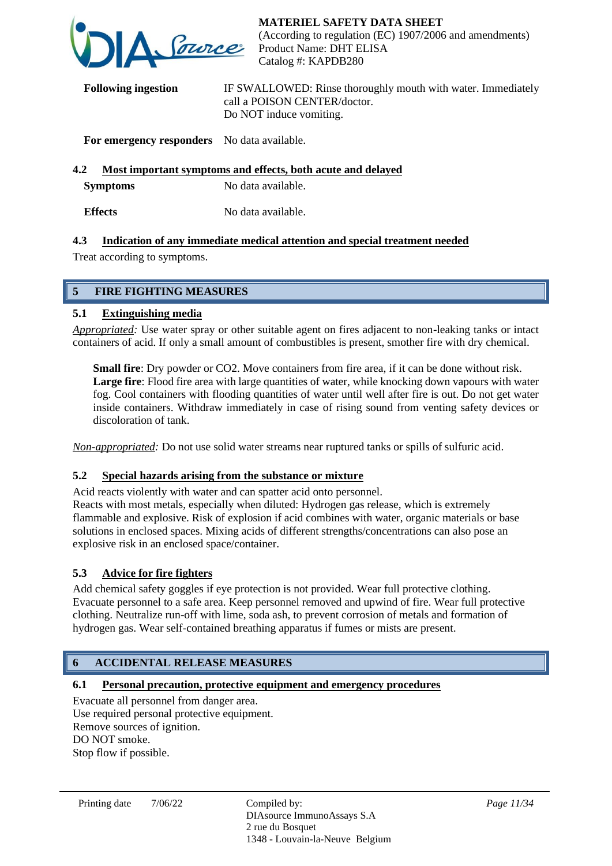

**Following ingestion** IF SWALLOWED: Rinse thoroughly mouth with water. Immediately call a POISON CENTER/doctor. Do NOT induce vomiting.

# **For emergency responders** No data available.

# **4.2 Most important symptoms and effects, both acute and delayed**

**Symptoms** No data available.

**Effects** No data available.

# **4.3 Indication of any immediate medical attention and special treatment needed**

Treat according to symptoms.

# **5 FIRE FIGHTING MEASURES**

# **5.1 Extinguishing media**

*Appropriated:* Use water spray or other suitable agent on fires adjacent to non-leaking tanks or intact containers of acid. If only a small amount of combustibles is present, smother fire with dry chemical.

**Small fire**: Dry powder or CO2. Move containers from fire area, if it can be done without risk. Large fire: Flood fire area with large quantities of water, while knocking down vapours with water fog. Cool containers with flooding quantities of water until well after fire is out. Do not get water inside containers. Withdraw immediately in case of rising sound from venting safety devices or discoloration of tank.

*Non-appropriated:* Do not use solid water streams near ruptured tanks or spills of sulfuric acid.

# **5.2 Special hazards arising from the substance or mixture**

Acid reacts violently with water and can spatter acid onto personnel. Reacts with most metals, especially when diluted: Hydrogen gas release, which is extremely flammable and explosive. Risk of explosion if acid combines with water, organic materials or base solutions in enclosed spaces. Mixing acids of different strengths/concentrations can also pose an explosive risk in an enclosed space/container.

# **5.3 Advice for fire fighters**

Add chemical safety goggles if eye protection is not provided. Wear full protective clothing. Evacuate personnel to a safe area. Keep personnel removed and upwind of fire. Wear full protective clothing. Neutralize run-off with lime, soda ash, to prevent corrosion of metals and formation of hydrogen gas. Wear self-contained breathing apparatus if fumes or mists are present.

# **6 ACCIDENTAL RELEASE MEASURES**

# **6.1 Personal precaution, protective equipment and emergency procedures**

Evacuate all personnel from danger area. Use required personal protective equipment. Remove sources of ignition. DO NOT smoke. Stop flow if possible.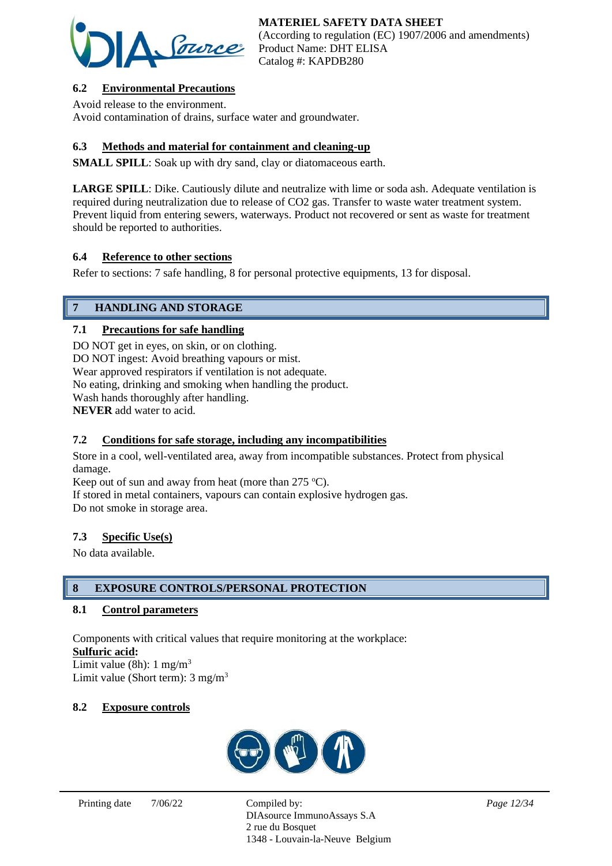

# **6.2 Environmental Precautions**

Avoid release to the environment. Avoid contamination of drains, surface water and groundwater.

# **6.3 Methods and material for containment and cleaning-up**

**SMALL SPILL**: Soak up with dry sand, clay or diatomaceous earth.

**LARGE SPILL**: Dike. Cautiously dilute and neutralize with lime or soda ash. Adequate ventilation is required during neutralization due to release of CO2 gas. Transfer to waste water treatment system. Prevent liquid from entering sewers, waterways. Product not recovered or sent as waste for treatment should be reported to authorities.

# **6.4 Reference to other sections**

Refer to sections: 7 safe handling, 8 for personal protective equipments, 13 for disposal.

# **7 HANDLING AND STORAGE**

### **7.1 Precautions for safe handling**

DO NOT get in eyes, on skin, or on clothing. DO NOT ingest: Avoid breathing vapours or mist. Wear approved respirators if ventilation is not adequate. No eating, drinking and smoking when handling the product. Wash hands thoroughly after handling. **NEVER** add water to acid.

# **7.2 Conditions for safe storage, including any incompatibilities**

Store in a cool, well-ventilated area, away from incompatible substances. Protect from physical damage.

Keep out of sun and away from heat (more than  $275 \text{ °C}$ ).

If stored in metal containers, vapours can contain explosive hydrogen gas. Do not smoke in storage area.

#### **7.3 Specific Use(s)**

No data available.

# **8 EXPOSURE CONTROLS/PERSONAL PROTECTION**

#### **8.1 Control parameters**

Components with critical values that require monitoring at the workplace: **Sulfuric acid:**

Limit value (8h):  $1 \text{ mg/m}^3$ Limit value (Short term): 3 mg/m<sup>3</sup>

#### **8.2 Exposure controls**



DIAsource ImmunoAssays S.A 2 rue du Bosquet 1348 - Louvain-la-Neuve Belgium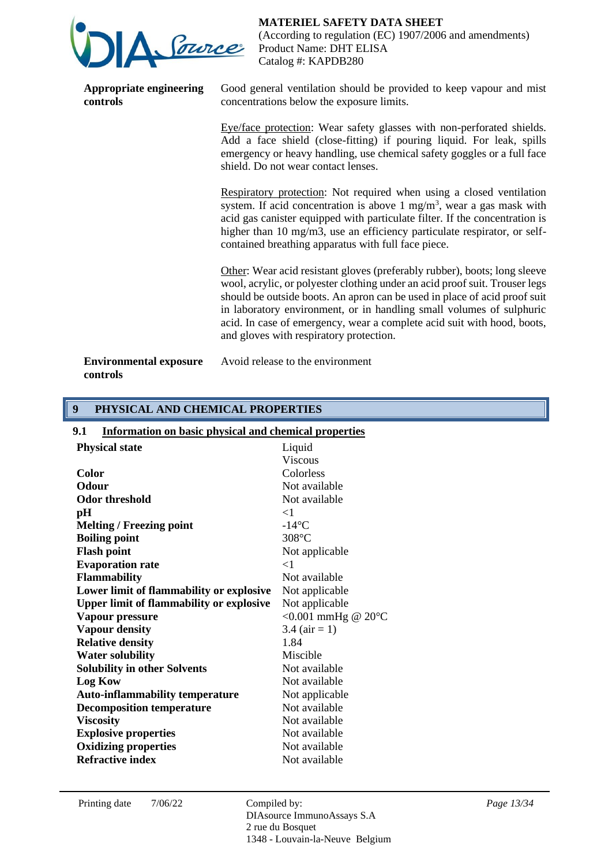

**Appropriate engineering controls**

**MATERIEL SAFETY DATA SHEET**

(According to regulation (EC) 1907/2006 and amendments) Product Name: DHT ELISA Catalog #: KAPDB280

Good general ventilation should be provided to keep vapour and mist concentrations below the exposure limits.

Eye/face protection: Wear safety glasses with non-perforated shields. Add a face shield (close-fitting) if pouring liquid. For leak, spills emergency or heavy handling, use chemical safety goggles or a full face shield. Do not wear contact lenses.

Respiratory protection: Not required when using a closed ventilation system. If acid concentration is above 1 mg/m<sup>3</sup>, wear a gas mask with acid gas canister equipped with particulate filter. If the concentration is higher than 10 mg/m3, use an efficiency particulate respirator, or selfcontained breathing apparatus with full face piece.

Other: Wear acid resistant gloves (preferably rubber), boots; long sleeve wool, acrylic, or polyester clothing under an acid proof suit. Trouser legs should be outside boots. An apron can be used in place of acid proof suit in laboratory environment, or in handling small volumes of sulphuric acid. In case of emergency, wear a complete acid suit with hood, boots, and gloves with respiratory protection.

**Environmental exposure controls**

Avoid release to the environment

### **9 PHYSICAL AND CHEMICAL PROPERTIES**

| <b>Information on basic physical and chemical properties</b> |
|--------------------------------------------------------------|
| Liquid                                                       |
| <b>Viscous</b>                                               |
| Colorless                                                    |
| Not available                                                |
| Not available                                                |
| $\leq$ 1                                                     |
| $-14$ °C                                                     |
| $308^{\circ}$ C                                              |
| Not applicable                                               |
| $<$ 1                                                        |
| Not available                                                |
| Not applicable                                               |
| Not applicable                                               |
| <0.001 mmHg @ $20^{\circ}$ C                                 |
| 3.4 $(air = 1)$                                              |
| 1.84                                                         |
| Miscible                                                     |
| Not available                                                |
| Not available                                                |
| Not applicable                                               |
| Not available                                                |
| Not available                                                |
| Not available                                                |
| Not available                                                |
| Not available                                                |
|                                                              |

DIAsource ImmunoAssays S.A 2 rue du Bosquet 1348 - Louvain-la-Neuve Belgium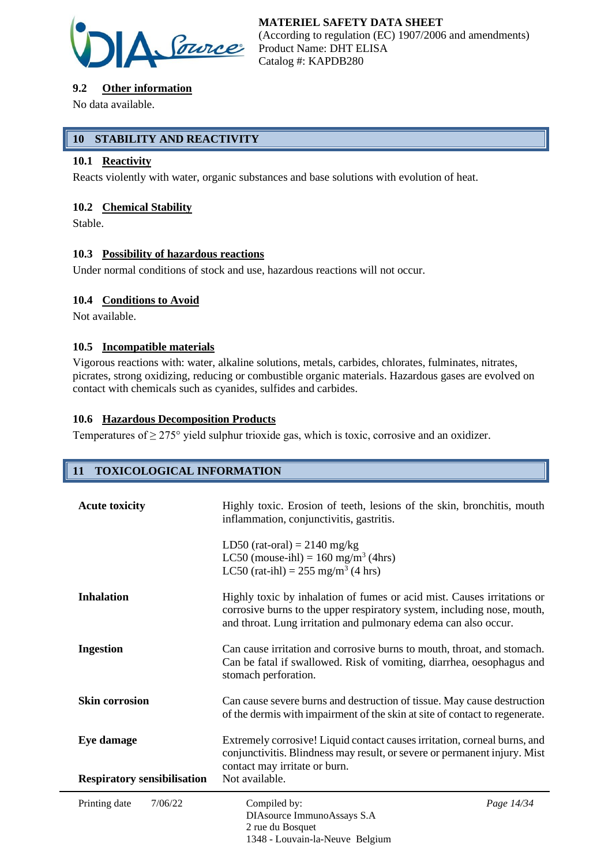

# **9.2 Other information**

No data available.

# **10 STABILITY AND REACTIVITY**

### **10.1 Reactivity**

Reacts violently with water, organic substances and base solutions with evolution of heat.

# **10.2 Chemical Stability**

Stable.

### **10.3 Possibility of hazardous reactions**

Under normal conditions of stock and use, hazardous reactions will not occur.

### **10.4 Conditions to Avoid**

Not available.

### **10.5 Incompatible materials**

Vigorous reactions with: water, alkaline solutions, metals, carbides, chlorates, fulminates, nitrates, picrates, strong oxidizing, reducing or combustible organic materials. Hazardous gases are evolved on contact with chemicals such as cyanides, sulfides and carbides.

### **10.6 Hazardous Decomposition Products**

Temperatures of  $\geq$  275° yield sulphur trioxide gas, which is toxic, corrosive and an oxidizer.

# **11 TOXICOLOGICAL INFORMATION**

| <b>Acute toxicity</b>              | Highly toxic. Erosion of teeth, lesions of the skin, bronchitis, mouth<br>inflammation, conjunctivitis, gastritis.                                                                                                    |            |
|------------------------------------|-----------------------------------------------------------------------------------------------------------------------------------------------------------------------------------------------------------------------|------------|
|                                    | LD50 (rat-oral) = $2140$ mg/kg<br>LC50 (mouse-ihl) = $160$ mg/m <sup>3</sup> (4hrs)<br>LC50 (rat-ihl) = $255 \text{ mg/m}^3$ (4 hrs)                                                                                  |            |
| <b>Inhalation</b>                  | Highly toxic by inhalation of fumes or acid mist. Causes irritations or<br>corrosive burns to the upper respiratory system, including nose, mouth,<br>and throat. Lung irritation and pulmonary edema can also occur. |            |
| <b>Ingestion</b>                   | Can cause irritation and corrosive burns to mouth, throat, and stomach.<br>Can be fatal if swallowed. Risk of vomiting, diarrhea, oesophagus and<br>stomach perforation.                                              |            |
| <b>Skin corrosion</b>              | Can cause severe burns and destruction of tissue. May cause destruction<br>of the dermis with impairment of the skin at site of contact to regenerate.                                                                |            |
| Eye damage                         | Extremely corrosive! Liquid contact causes irritation, corneal burns, and<br>conjunctivitis. Blindness may result, or severe or permanent injury. Mist<br>contact may irritate or burn.                               |            |
| <b>Respiratory sensibilisation</b> | Not available.                                                                                                                                                                                                        |            |
| Printing date<br>7/06/22           | Compiled by:<br>DIAsource ImmunoAssays S.A<br>2 rue du Bosquet<br>1348 - Louvain-la-Neuve Belgium                                                                                                                     | Page 14/34 |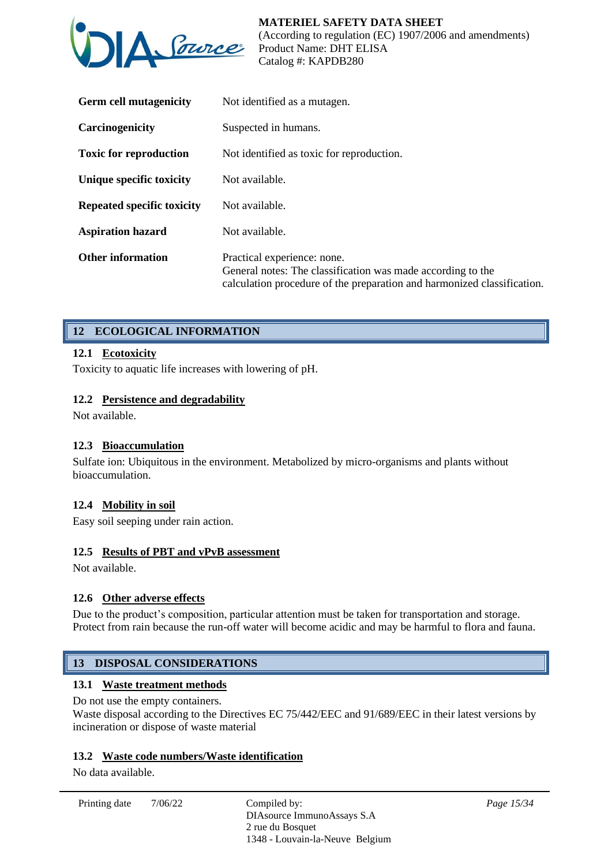

| <b>Germ cell mutagenicity</b> | Not identified as a mutagen.                                                                                                                                          |
|-------------------------------|-----------------------------------------------------------------------------------------------------------------------------------------------------------------------|
| Carcinogenicity               | Suspected in humans.                                                                                                                                                  |
| <b>Toxic for reproduction</b> | Not identified as toxic for reproduction.                                                                                                                             |
| Unique specific toxicity      | Not available.                                                                                                                                                        |
| Repeated specific toxicity    | Not available.                                                                                                                                                        |
| <b>Aspiration hazard</b>      | Not available.                                                                                                                                                        |
| <b>Other information</b>      | Practical experience: none.<br>General notes: The classification was made according to the<br>calculation procedure of the preparation and harmonized classification. |

# **12 ECOLOGICAL INFORMATION**

### **12.1 Ecotoxicity**

Toxicity to aquatic life increases with lowering of pH.

### **12.2 Persistence and degradability**

Not available.

#### **12.3 Bioaccumulation**

Sulfate ion: Ubiquitous in the environment. Metabolized by micro-organisms and plants without bioaccumulation.

#### **12.4 Mobility in soil**

Easy soil seeping under rain action.

### **12.5 Results of PBT and vPvB assessment**

Not available.

# **12.6 Other adverse effects**

Due to the product's composition, particular attention must be taken for transportation and storage. Protect from rain because the run-off water will become acidic and may be harmful to flora and fauna.

# **13 DISPOSAL CONSIDERATIONS**

# **13.1 Waste treatment methods**

Do not use the empty containers.

Waste disposal according to the Directives EC 75/442/EEC and 91/689/EEC in their latest versions by incineration or dispose of waste material

#### **13.2 Waste code numbers/Waste identification**

No data available.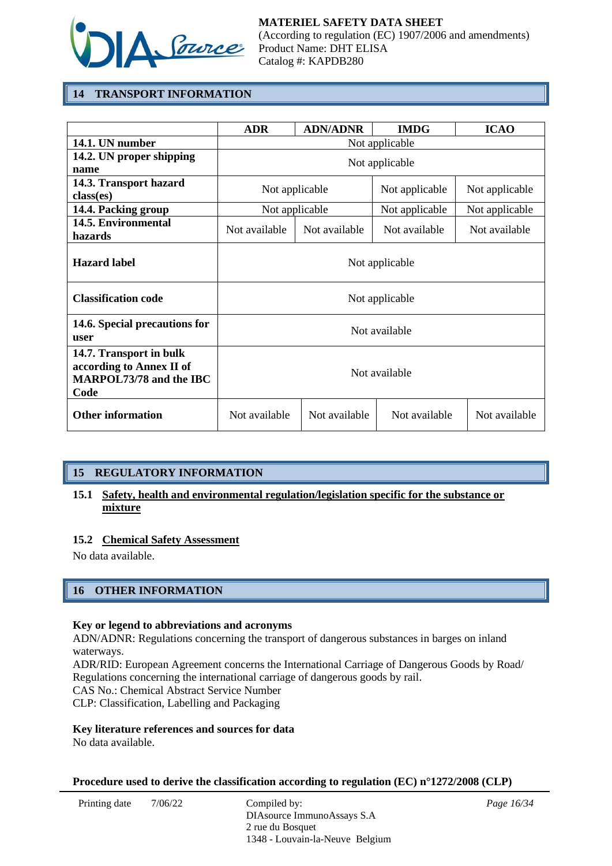

# **14 TRANSPORT INFORMATION**

|                                                                                               | <b>ADR</b>     | <b>ADN/ADNR</b> | <b>IMDG</b>    | <b>ICAO</b>    |
|-----------------------------------------------------------------------------------------------|----------------|-----------------|----------------|----------------|
| 14.1. UN number                                                                               | Not applicable |                 |                |                |
| 14.2. UN proper shipping<br>name                                                              | Not applicable |                 |                |                |
| 14.3. Transport hazard<br>class(es)                                                           | Not applicable |                 | Not applicable | Not applicable |
| 14.4. Packing group                                                                           | Not applicable |                 | Not applicable | Not applicable |
| 14.5. Environmental<br>hazards                                                                | Not available  | Not available   | Not available  | Not available  |
| <b>Hazard label</b>                                                                           | Not applicable |                 |                |                |
| <b>Classification code</b>                                                                    | Not applicable |                 |                |                |
| 14.6. Special precautions for<br>user                                                         | Not available  |                 |                |                |
| 14.7. Transport in bulk<br>according to Annex II of<br><b>MARPOL73/78 and the IBC</b><br>Code | Not available  |                 |                |                |
| <b>Other information</b>                                                                      | Not available  | Not available   | Not available  | Not available  |

# **15 REGULATORY INFORMATION**

# **15.1 Safety, health and environmental regulation/legislation specific for the substance or mixture**

#### **15.2 Chemical Safety Assessment**

No data available.

# **16 OTHER INFORMATION**

#### **Key or legend to abbreviations and acronyms**

ADN/ADNR: Regulations concerning the transport of dangerous substances in barges on inland waterways.

ADR/RID: European Agreement concerns the International Carriage of Dangerous Goods by Road/ Regulations concerning the international carriage of dangerous goods by rail.

CAS No.: Chemical Abstract Service Number

CLP: Classification, Labelling and Packaging

#### **Key literature references and sources for data**

No data available.

#### **Procedure used to derive the classification according to regulation (EC) n°1272/2008 (CLP)**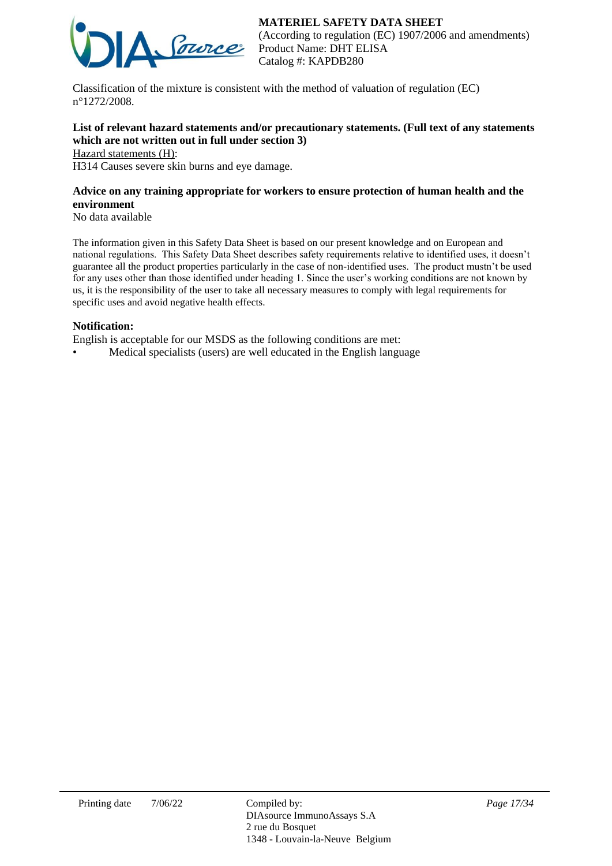# **MATERIEL SAFETY DATA SHEET**



(According to regulation (EC) 1907/2006 and amendments) Product Name: DHT ELISA Catalog #: KAPDB280

Classification of the mixture is consistent with the method of valuation of regulation (EC) n°1272/2008.

# **List of relevant hazard statements and/or precautionary statements. (Full text of any statements which are not written out in full under section 3)**

Hazard statements (H):

H314 Causes severe skin burns and eye damage.

# **Advice on any training appropriate for workers to ensure protection of human health and the environment**

No data available

The information given in this Safety Data Sheet is based on our present knowledge and on European and national regulations. This Safety Data Sheet describes safety requirements relative to identified uses, it doesn't guarantee all the product properties particularly in the case of non-identified uses. The product mustn't be used for any uses other than those identified under heading 1. Since the user's working conditions are not known by us, it is the responsibility of the user to take all necessary measures to comply with legal requirements for specific uses and avoid negative health effects.

#### **Notification:**

English is acceptable for our MSDS as the following conditions are met:

• Medical specialists (users) are well educated in the English language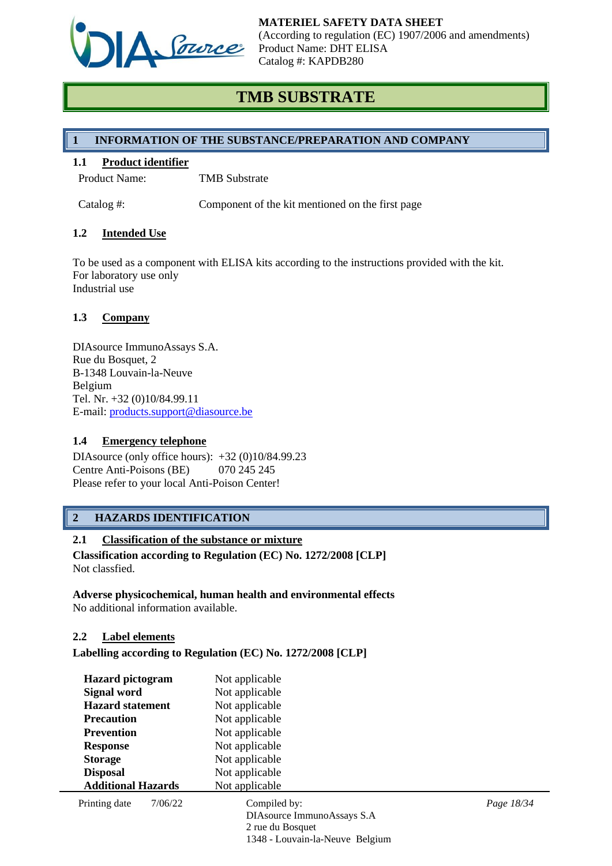

# **TMB SUBSTRATE**

# **1 INFORMATION OF THE SUBSTANCE/PREPARATION AND COMPANY**

### **1.1 Product identifier**

Product Name: TMB Substrate

Catalog #: Component of the kit mentioned on the first page

### **1.2 Intended Use**

To be used as a component with ELISA kits according to the instructions provided with the kit. For laboratory use only Industrial use

### **1.3 Company**

DIAsource ImmunoAssays S.A. Rue du Bosquet, 2 B-1348 Louvain-la-Neuve Belgium Tel. Nr. +32 (0)10/84.99.11 E-mail: [products.support@diasource.be](mailto:products.support@diasource.be)

#### **1.4 Emergency telephone**

DIAsource (only office hours): +32 (0)10/84.99.23 Centre Anti-Poisons (BE) 070 245 245 Please refer to your local Anti-Poison Center!

# **2 HAZARDS IDENTIFICATION**

# **2.1 Classification of the substance or mixture**

**Classification according to Regulation (EC) No. 1272/2008 [CLP]** Not classfied.

#### **Adverse physicochemical, human health and environmental effects** No additional information available.

#### **2.2 Label elements**

**Labelling according to Regulation (EC) No. 1272/2008 [CLP]**

| <b>Hazard</b> pictogram   |         | Not applicable                  |            |
|---------------------------|---------|---------------------------------|------------|
| Signal word               |         | Not applicable                  |            |
| <b>Hazard statement</b>   |         | Not applicable                  |            |
| <b>Precaution</b>         |         | Not applicable                  |            |
| <b>Prevention</b>         |         | Not applicable                  |            |
| <b>Response</b>           |         | Not applicable                  |            |
| <b>Storage</b>            |         | Not applicable                  |            |
| <b>Disposal</b>           |         | Not applicable                  |            |
| <b>Additional Hazards</b> |         | Not applicable                  |            |
| Printing date             | 7/06/22 | Compiled by:                    | Page 18/34 |
|                           |         | DIAsource ImmunoAssays S.A      |            |
|                           |         | 2 rue du Bosquet                |            |
|                           |         | 1348 - Louvain-la-Neuve Belgium |            |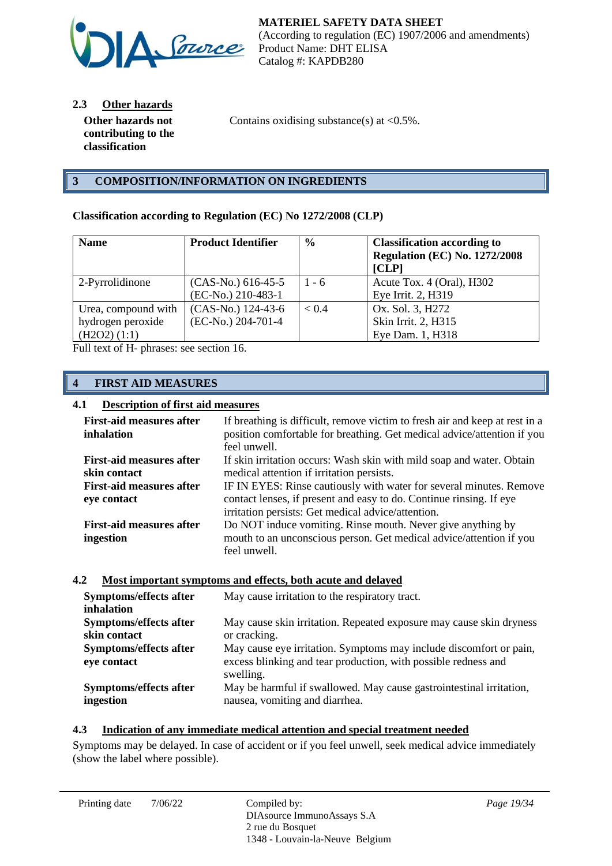

**2.3 Other hazards**

**Other hazards not contributing to the classification**

Contains oxidising substance(s) at  $\langle 0.5\% \rangle$ .

# **3 COMPOSITION/INFORMATION ON INGREDIENTS**

### **Classification according to Regulation (EC) No 1272/2008 (CLP)**

| <b>Name</b>         | <b>Product Identifier</b> | $\frac{6}{6}$ | <b>Classification according to</b><br><b>Regulation (EC) No. 1272/2008</b><br>[CLP] |
|---------------------|---------------------------|---------------|-------------------------------------------------------------------------------------|
| 2-Pyrrolidinone     | $(CAS-No.) 616-45-5$      | $1 - 6$       | Acute Tox. 4 (Oral), H302                                                           |
|                     | (EC-No.) 210-483-1        |               | Eye Irrit. 2, H319                                                                  |
| Urea, compound with | (CAS-No.) 124-43-6        | < 0.4         | Ox. Sol. 3, H272                                                                    |
| hydrogen peroxide   | (EC-No.) 204-701-4        |               | Skin Irrit. 2, H315                                                                 |
| (H2O2) (1:1)        |                           |               | Eye Dam. 1, H318                                                                    |

Full text of H- phrases: see section 16.

# **4 FIRST AID MEASURES**

## **4.1 Description of first aid measures**

| <b>First-aid measures after</b><br>inhalation | If breathing is difficult, remove victim to fresh air and keep at rest in a<br>position comfortable for breathing. Get medical advice/attention if you<br>feel unwell. |
|-----------------------------------------------|------------------------------------------------------------------------------------------------------------------------------------------------------------------------|
| <b>First-aid measures after</b>               | If skin irritation occurs: Wash skin with mild soap and water. Obtain                                                                                                  |
| skin contact                                  | medical attention if irritation persists.                                                                                                                              |
| <b>First-aid measures after</b>               | IF IN EYES: Rinse cautiously with water for several minutes. Remove                                                                                                    |
| eye contact                                   | contact lenses, if present and easy to do. Continue rinsing. If eye                                                                                                    |
|                                               | irritation persists: Get medical advice/attention.                                                                                                                     |
| <b>First-aid measures after</b>               | Do NOT induce vomiting. Rinse mouth. Never give anything by                                                                                                            |
| ingestion                                     | mouth to an unconscious person. Get medical advice/attention if you                                                                                                    |
|                                               | feel unwell.                                                                                                                                                           |

#### **4.2 Most important symptoms and effects, both acute and delayed**

| Symptoms/effects after<br>inhalation  | May cause irritation to the respiratory tract.                                                                                                    |
|---------------------------------------|---------------------------------------------------------------------------------------------------------------------------------------------------|
| Symptoms/effects after                | May cause skin irritation. Repeated exposure may cause skin dryness                                                                               |
| skin contact                          | or cracking.                                                                                                                                      |
| Symptoms/effects after<br>eye contact | May cause eye irritation. Symptoms may include discomfort or pain,<br>excess blinking and tear production, with possible redness and<br>swelling. |
| Symptoms/effects after                | May be harmful if swallowed. May cause gastrointestinal irritation,                                                                               |
| ingestion                             | nausea, vomiting and diarrhea.                                                                                                                    |

#### **4.3 Indication of any immediate medical attention and special treatment needed**

Symptoms may be delayed. In case of accident or if you feel unwell, seek medical advice immediately (show the label where possible).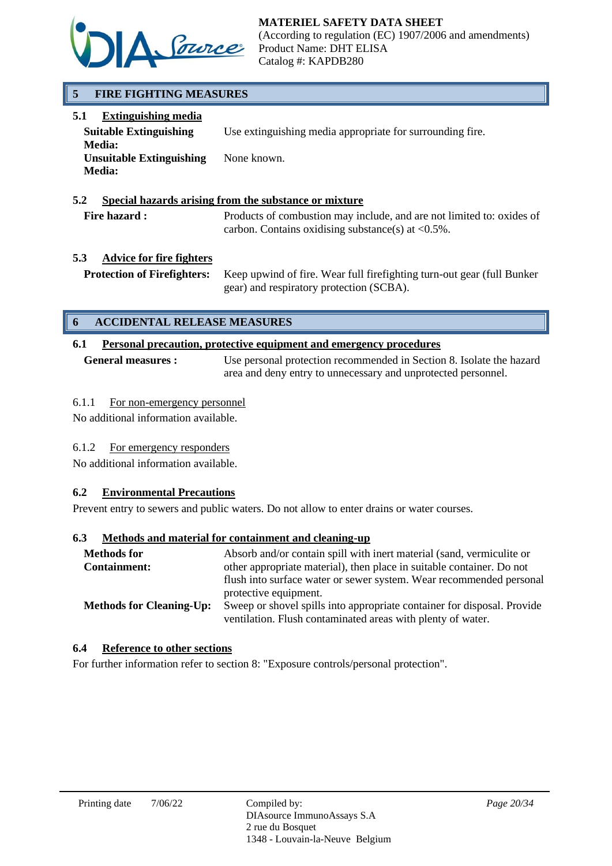

**MATERIEL SAFETY DATA SHEET**

(According to regulation (EC) 1907/2006 and amendments) Product Name: DHT ELISA Catalog #: KAPDB280

# **5 FIRE FIGHTING MEASURES**

| 5.1<br><b>Extinguishing media</b>                                 |                                                           |
|-------------------------------------------------------------------|-----------------------------------------------------------|
| <b>Suitable Extinguishing</b>                                     | Use extinguishing media appropriate for surrounding fire. |
| <b>Media:</b><br><b>Unsuitable Extinguishing</b><br><b>Media:</b> | None known.                                               |

### **5.2 Special hazards arising from the substance or mixture**

Fire hazard : Products of combustion may include, and are not limited to: oxides of carbon. Contains oxidising substance(s) at  $\langle 0.5\% \rangle$ .

# **5.3 Advice for fire fighters**

**Protection of Firefighters:** Keep upwind of fire. Wear full firefighting turn-out gear (full Bunker gear) and respiratory protection (SCBA).

# **6 ACCIDENTAL RELEASE MEASURES**

# **6.1 Personal precaution, protective equipment and emergency procedures**

**General measures :** Use personal protection recommended in Section 8. Isolate the hazard area and deny entry to unnecessary and unprotected personnel.

### 6.1.1 For non-emergency personnel

No additional information available.

# 6.1.2 For emergency responders

No additional information available.

# **6.2 Environmental Precautions**

Prevent entry to sewers and public waters. Do not allow to enter drains or water courses.

### **6.3 Methods and material for containment and cleaning-up**

| <b>Methods for</b>              | Absorb and/or contain spill with inert material (sand, vermiculite or   |
|---------------------------------|-------------------------------------------------------------------------|
| <b>Containment:</b>             | other appropriate material), then place in suitable container. Do not   |
|                                 | flush into surface water or sewer system. Wear recommended personal     |
|                                 | protective equipment.                                                   |
| <b>Methods for Cleaning-Up:</b> | Sweep or shovel spills into appropriate container for disposal. Provide |
|                                 | ventilation. Flush contaminated areas with plenty of water.             |

### **6.4 Reference to other sections**

For further information refer to section 8: "Exposure controls/personal protection".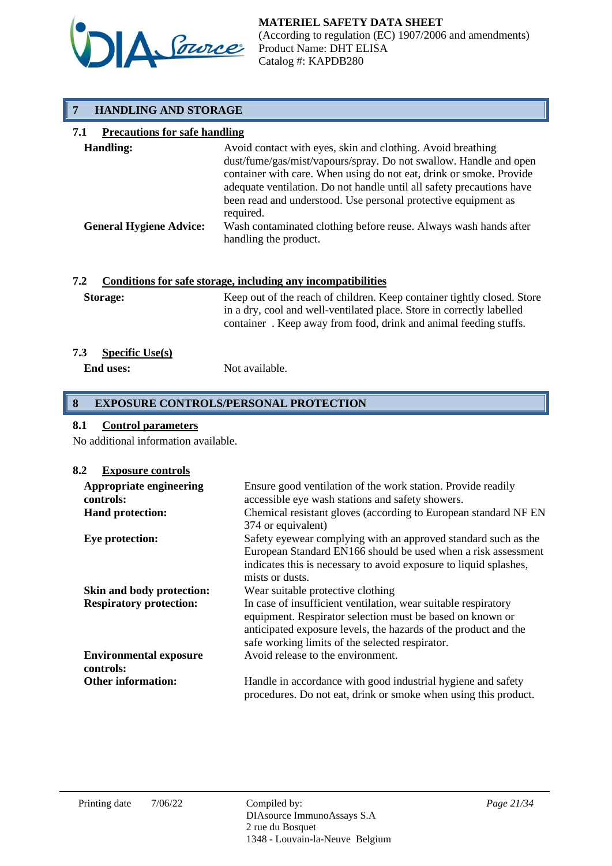

# **7 HANDLING AND STORAGE**

# **7.1 Precautions for safe handling**

| <b>Handling:</b>               | Avoid contact with eyes, skin and clothing. Avoid breathing<br>dust/fume/gas/mist/vapours/spray. Do not swallow. Handle and open<br>container with care. When using do not eat, drink or smoke. Provide<br>adequate ventilation. Do not handle until all safety precautions have |
|--------------------------------|----------------------------------------------------------------------------------------------------------------------------------------------------------------------------------------------------------------------------------------------------------------------------------|
| <b>General Hygiene Advice:</b> | been read and understood. Use personal protective equipment as<br>required.<br>Wash contaminated clothing before reuse. Always wash hands after<br>handling the product.                                                                                                         |

# **7.2 Conditions for safe storage, including any incompatibilities**

| <b>Storage:</b> | Keep out of the reach of children. Keep container tightly closed. Store |
|-----------------|-------------------------------------------------------------------------|
|                 | in a dry, cool and well-ventilated place. Store in correctly labelled   |
|                 | container. Keep away from food, drink and animal feeding stuffs.        |

### **7.3 Specific Use(s)**

**End uses:** Not available.

# **8 EXPOSURE CONTROLS/PERSONAL PROTECTION**

# **8.1 Control parameters**

No additional information available.

#### **8.2 Exposure controls**

| Appropriate engineering<br>controls: | Ensure good ventilation of the work station. Provide readily<br>accessible eye wash stations and safety showers.                                                                                                                                  |
|--------------------------------------|---------------------------------------------------------------------------------------------------------------------------------------------------------------------------------------------------------------------------------------------------|
| <b>Hand protection:</b>              | Chemical resistant gloves (according to European standard NF EN<br>374 or equivalent)                                                                                                                                                             |
| Eye protection:                      | Safety eyewear complying with an approved standard such as the<br>European Standard EN166 should be used when a risk assessment<br>indicates this is necessary to avoid exposure to liquid splashes,<br>mists or dusts.                           |
| Skin and body protection:            | Wear suitable protective clothing                                                                                                                                                                                                                 |
| <b>Respiratory protection:</b>       | In case of insufficient ventilation, wear suitable respiratory<br>equipment. Respirator selection must be based on known or<br>anticipated exposure levels, the hazards of the product and the<br>safe working limits of the selected respirator. |
| <b>Environmental exposure</b>        | Avoid release to the environment.                                                                                                                                                                                                                 |
| controls:                            |                                                                                                                                                                                                                                                   |
| <b>Other information:</b>            | Handle in accordance with good industrial hygiene and safety<br>procedures. Do not eat, drink or smoke when using this product.                                                                                                                   |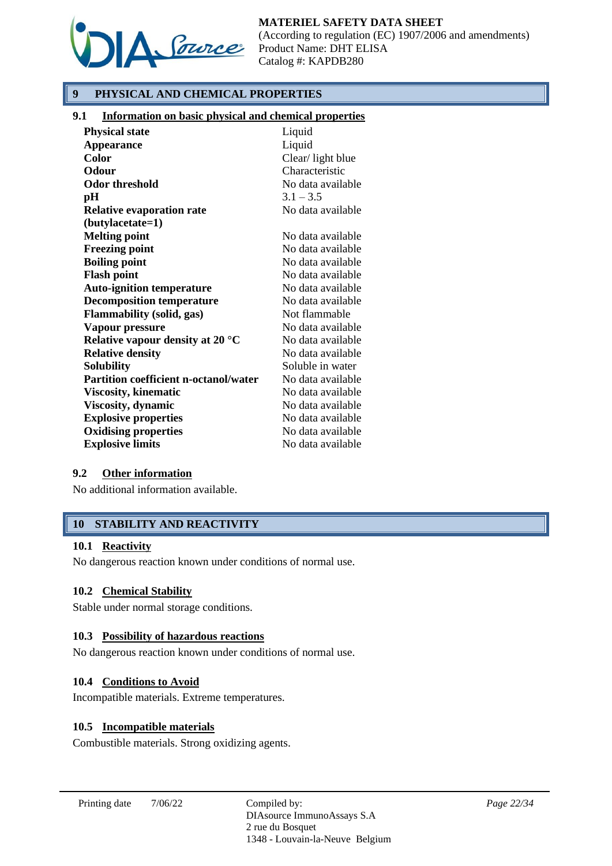

**MATERIEL SAFETY DATA SHEET**

(According to regulation (EC) 1907/2006 and amendments) Product Name: DHT ELISA Catalog #: KAPDB280

# **9 PHYSICAL AND CHEMICAL PROPERTIES**

### **9.1 Information on basic physical and chemical properties**

| <b>Physical state</b>                        | Liquid            |
|----------------------------------------------|-------------------|
| <b>Appearance</b>                            | Liquid            |
| <b>Color</b>                                 | Clear/light blue  |
| Odour                                        | Characteristic    |
| Odor threshold                               | No data available |
| pН                                           | $3.1 - 3.5$       |
| <b>Relative evaporation rate</b>             | No data available |
| (butylacetate=1)                             |                   |
| <b>Melting point</b>                         | No data available |
| <b>Freezing point</b>                        | No data available |
| <b>Boiling point</b>                         | No data available |
| <b>Flash point</b>                           | No data available |
| <b>Auto-ignition temperature</b>             | No data available |
| <b>Decomposition temperature</b>             | No data available |
| <b>Flammability (solid, gas)</b>             | Not flammable     |
| Vapour pressure                              | No data available |
| Relative vapour density at 20 $\degree$ C    | No data available |
| <b>Relative density</b>                      | No data available |
| <b>Solubility</b>                            | Soluble in water  |
| <b>Partition coefficient n-octanol/water</b> | No data available |
| <b>Viscosity, kinematic</b>                  | No data available |
| Viscosity, dynamic                           | No data available |
| <b>Explosive properties</b>                  | No data available |
| <b>Oxidising properties</b>                  | No data available |
| <b>Explosive limits</b>                      | No data available |

#### **9.2 Other information**

No additional information available.

# **10 STABILITY AND REACTIVITY**

#### **10.1 Reactivity**

No dangerous reaction known under conditions of normal use.

#### **10.2 Chemical Stability**

Stable under normal storage conditions.

#### **10.3 Possibility of hazardous reactions**

No dangerous reaction known under conditions of normal use.

### **10.4 Conditions to Avoid**

Incompatible materials. Extreme temperatures.

#### **10.5 Incompatible materials**

Combustible materials. Strong oxidizing agents.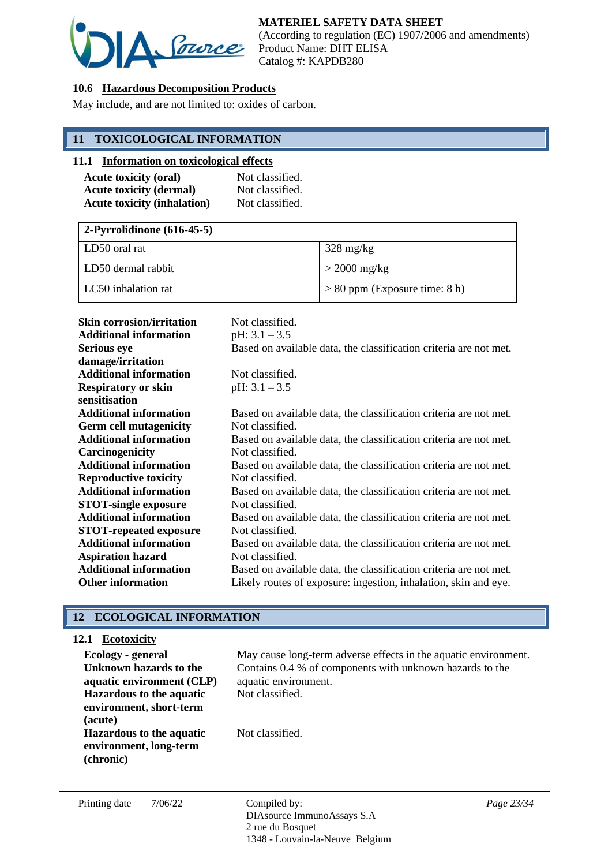

# **10.6 Hazardous Decomposition Products**

May include, and are not limited to: oxides of carbon.

# **11 TOXICOLOGICAL INFORMATION**

#### **11.1 Information on toxicological effects**

| <b>Acute toxicity (oral)</b>       | Not classified. |
|------------------------------------|-----------------|
| <b>Acute toxicity (dermal)</b>     | Not classified. |
| <b>Acute toxicity (inhalation)</b> | Not classified. |

| $\sqrt{2-Pyrrolidinone(616-45-5)}$ |                                 |  |
|------------------------------------|---------------------------------|--|
| LD50 oral rat                      | $328 \text{ mg/kg}$             |  |
| LLD50 dermal rabbit                | $>$ 2000 mg/kg                  |  |
| LC50 inhalation rat                | $> 80$ ppm (Exposure time: 8 h) |  |

| <b>Skin corrosion/irritation</b> | Not classified.                                                   |
|----------------------------------|-------------------------------------------------------------------|
| <b>Additional information</b>    | pH: $3.1 - 3.5$                                                   |
| <b>Serious eye</b>               | Based on available data, the classification criteria are not met. |
| damage/irritation                |                                                                   |
| <b>Additional information</b>    | Not classified.                                                   |
| <b>Respiratory or skin</b>       | pH: $3.1 - 3.5$                                                   |
| sensitisation                    |                                                                   |
| <b>Additional information</b>    | Based on available data, the classification criteria are not met. |
| <b>Germ cell mutagenicity</b>    | Not classified.                                                   |
| <b>Additional information</b>    | Based on available data, the classification criteria are not met. |
| Carcinogenicity                  | Not classified.                                                   |
| <b>Additional information</b>    | Based on available data, the classification criteria are not met. |
| <b>Reproductive toxicity</b>     | Not classified.                                                   |
| <b>Additional information</b>    | Based on available data, the classification criteria are not met. |
| <b>STOT-single exposure</b>      | Not classified.                                                   |
| <b>Additional information</b>    | Based on available data, the classification criteria are not met. |
| <b>STOT-repeated exposure</b>    | Not classified.                                                   |
| <b>Additional information</b>    | Based on available data, the classification criteria are not met. |
| <b>Aspiration hazard</b>         | Not classified.                                                   |
| <b>Additional information</b>    | Based on available data, the classification criteria are not met. |
| <b>Other information</b>         | Likely routes of exposure: ingestion, inhalation, skin and eye.   |

# **12 ECOLOGICAL INFORMATION**

### **12.1 Ecotoxicity**

| Ecology - general<br>Unknown hazards to the<br>aquatic environment (CLP) | May cause long-term adverse effects in the aquatic environment.<br>Contains 0.4 % of components with unknown hazards to the<br>aquatic environment. |
|--------------------------------------------------------------------------|-----------------------------------------------------------------------------------------------------------------------------------------------------|
| <b>Hazardous to the aquatic</b><br>environment, short-term<br>(acute)    | Not classified.                                                                                                                                     |
| <b>Hazardous to the aquatic</b><br>environment, long-term<br>(chronic)   | Not classified.                                                                                                                                     |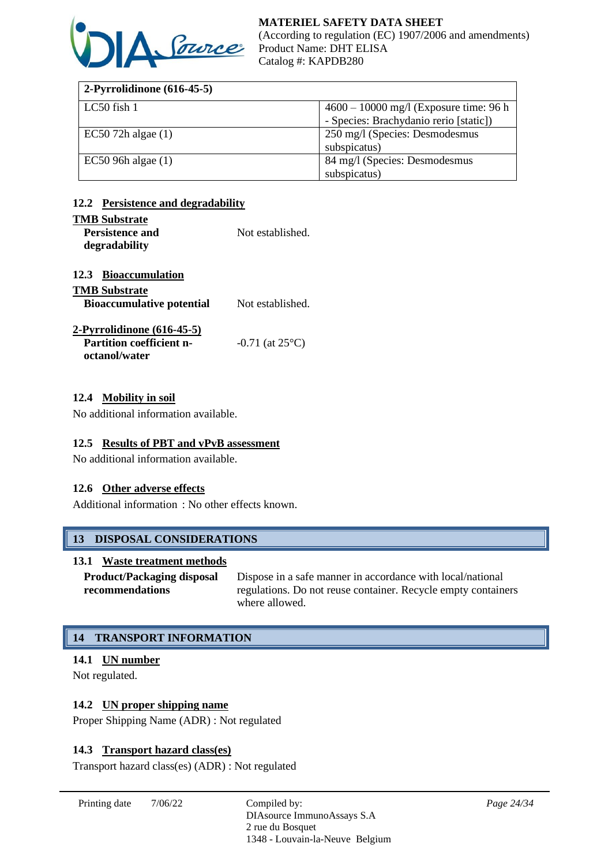

| 2-Pyrrolidinone $(616-45-5)$ |                                          |
|------------------------------|------------------------------------------|
| LC50 fish 1                  | $4600 - 10000$ mg/l (Exposure time: 96 h |
|                              | - Species: Brachydanio rerio [static])   |
| $EC50$ 72h algae $(1)$       | 250 mg/l (Species: Desmodesmus           |
|                              | subspicatus)                             |
| $EC50$ 96h algae $(1)$       | 84 mg/l (Species: Desmodesmus            |
|                              | subspicatus)                             |

# **12.2 Persistence and degradability**

#### **TMB Substrate**

| www.communic           |                  |
|------------------------|------------------|
| <b>Persistence and</b> | Not established. |
| degradability          |                  |

### **12.3 Bioaccumulation**

| <b>TMB Substrate</b>             |                             |
|----------------------------------|-----------------------------|
| <b>Bioaccumulative potential</b> | Not established.            |
| $2$ -Pyrrolidinone $(616-45-5)$  |                             |
| <b>Partition coefficient n-</b>  | $-0.71$ (at $25^{\circ}$ C) |

### **12.4 Mobility in soil**

**octanol/water**

No additional information available.

#### **12.5 Results of PBT and vPvB assessment**

No additional information available.

#### **12.6 Other adverse effects**

Additional information : No other effects known.

# **13 DISPOSAL CONSIDERATIONS**

#### **13.1 Waste treatment methods**

**Product/Packaging disposal recommendations** Dispose in a safe manner in accordance with local/national regulations. Do not reuse container. Recycle empty containers where allowed.

# **14 TRANSPORT INFORMATION**

## **14.1 UN number**

Not regulated.

### **14.2 UN proper shipping name**

Proper Shipping Name (ADR) : Not regulated

#### **14.3 Transport hazard class(es)**

Transport hazard class(es) (ADR) : Not regulated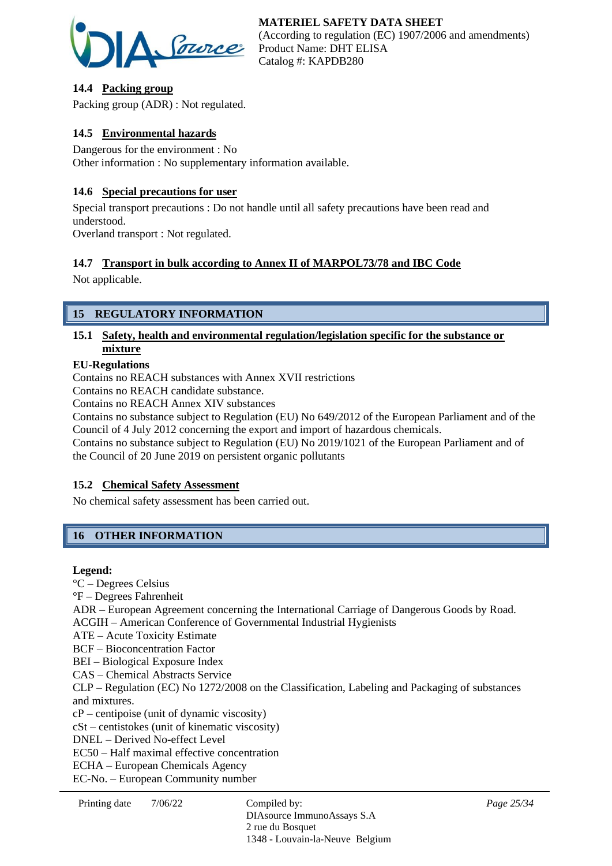

# **14.4 Packing group**

Packing group (ADR) : Not regulated.

# **14.5 Environmental hazards**

Dangerous for the environment : No Other information : No supplementary information available.

# **14.6 Special precautions for user**

Special transport precautions : Do not handle until all safety precautions have been read and understood.

Overland transport : Not regulated.

# **14.7 Transport in bulk according to Annex II of MARPOL73/78 and IBC Code**

Not applicable.

# **15 REGULATORY INFORMATION**

# **15.1 Safety, health and environmental regulation/legislation specific for the substance or mixture**

### **EU-Regulations**

Contains no REACH substances with Annex XVII restrictions

Contains no REACH candidate substance.

Contains no REACH Annex XIV substances

Contains no substance subject to Regulation (EU) No 649/2012 of the European Parliament and of the Council of 4 July 2012 concerning the export and import of hazardous chemicals.

Contains no substance subject to Regulation (EU) No 2019/1021 of the European Parliament and of the Council of 20 June 2019 on persistent organic pollutants

# **15.2 Chemical Safety Assessment**

No chemical safety assessment has been carried out.

# **16 OTHER INFORMATION**

#### **Legend:**

°C – Degrees Celsius °F – Degrees Fahrenheit ADR – European Agreement concerning the International Carriage of Dangerous Goods by Road. ACGIH – American Conference of Governmental Industrial Hygienists ATE – Acute Toxicity Estimate BCF – Bioconcentration Factor BEI – Biological Exposure Index CAS – Chemical Abstracts Service CLP – Regulation (EC) No 1272/2008 on the Classification, Labeling and Packaging of substances and mixtures. cP – centipoise (unit of dynamic viscosity) cSt – centistokes (unit of kinematic viscosity) DNEL – Derived No-effect Level EC50 – Half maximal effective concentration ECHA – European Chemicals Agency EC-No. – European Community number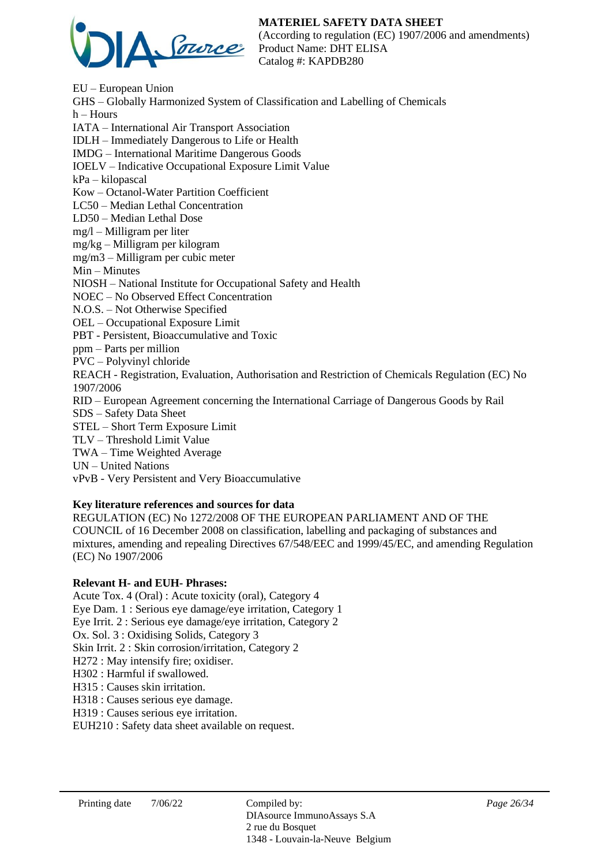# **MATERIEL SAFETY DATA SHEET**



(According to regulation (EC) 1907/2006 and amendments) Product Name: DHT ELISA Catalog #: KAPDB280

EU – European Union GHS – Globally Harmonized System of Classification and Labelling of Chemicals h – Hours IATA – International Air Transport Association IDLH – Immediately Dangerous to Life or Health IMDG – International Maritime Dangerous Goods IOELV – Indicative Occupational Exposure Limit Value kPa – kilopascal Kow – Octanol-Water Partition Coefficient LC50 – Median Lethal Concentration LD50 – Median Lethal Dose mg/l – Milligram per liter mg/kg – Milligram per kilogram mg/m3 – Milligram per cubic meter Min – Minutes NIOSH – National Institute for Occupational Safety and Health NOEC – No Observed Effect Concentration N.O.S. – Not Otherwise Specified OEL – Occupational Exposure Limit PBT - Persistent, Bioaccumulative and Toxic ppm – Parts per million PVC – Polyvinyl chloride REACH - Registration, Evaluation, Authorisation and Restriction of Chemicals Regulation (EC) No 1907/2006 RID – European Agreement concerning the International Carriage of Dangerous Goods by Rail SDS – Safety Data Sheet STEL – Short Term Exposure Limit TLV – Threshold Limit Value TWA – Time Weighted Average UN – United Nations vPvB - Very Persistent and Very Bioaccumulative

# **Key literature references and sources for data**

REGULATION (EC) No 1272/2008 OF THE EUROPEAN PARLIAMENT AND OF THE COUNCIL of 16 December 2008 on classification, labelling and packaging of substances and mixtures, amending and repealing Directives 67/548/EEC and 1999/45/EC, and amending Regulation (EC) No 1907/2006

#### **Relevant H- and EUH- Phrases:**

Acute Tox. 4 (Oral) : Acute toxicity (oral), Category 4 Eye Dam. 1 : Serious eye damage/eye irritation, Category 1 Eye Irrit. 2 : Serious eye damage/eye irritation, Category 2 Ox. Sol. 3 : Oxidising Solids, Category 3 Skin Irrit. 2 : Skin corrosion/irritation, Category 2 H272 : May intensify fire; oxidiser. H302 : Harmful if swallowed. H315 : Causes skin irritation. H318 : Causes serious eye damage. H319 : Causes serious eye irritation.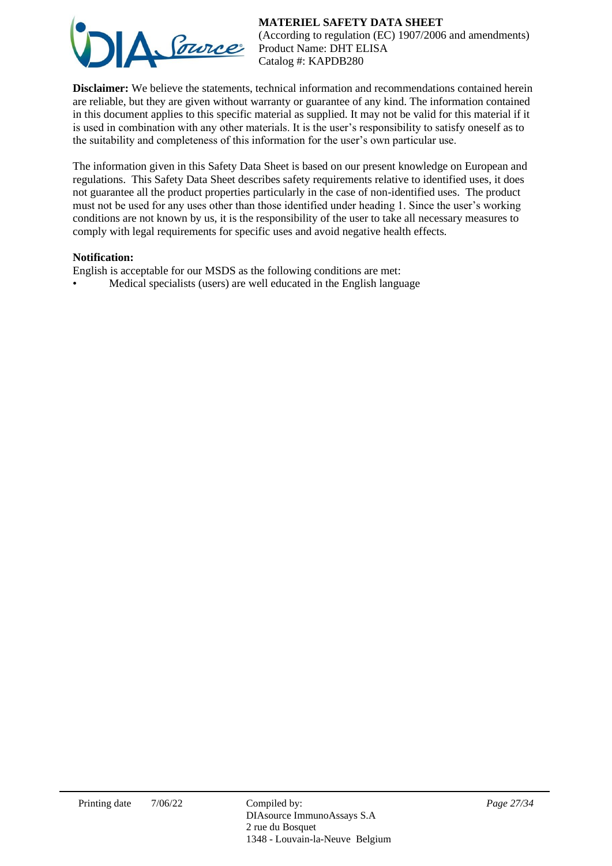# **MATERIEL SAFETY DATA SHEET**



(According to regulation (EC) 1907/2006 and amendments) Product Name: DHT ELISA Catalog #: KAPDB280

**Disclaimer:** We believe the statements, technical information and recommendations contained herein are reliable, but they are given without warranty or guarantee of any kind. The information contained in this document applies to this specific material as supplied. It may not be valid for this material if it is used in combination with any other materials. It is the user's responsibility to satisfy oneself as to the suitability and completeness of this information for the user's own particular use.

The information given in this Safety Data Sheet is based on our present knowledge on European and regulations. This Safety Data Sheet describes safety requirements relative to identified uses, it does not guarantee all the product properties particularly in the case of non-identified uses. The product must not be used for any uses other than those identified under heading 1. Since the user's working conditions are not known by us, it is the responsibility of the user to take all necessary measures to comply with legal requirements for specific uses and avoid negative health effects.

### **Notification:**

English is acceptable for our MSDS as the following conditions are met:

• Medical specialists (users) are well educated in the English language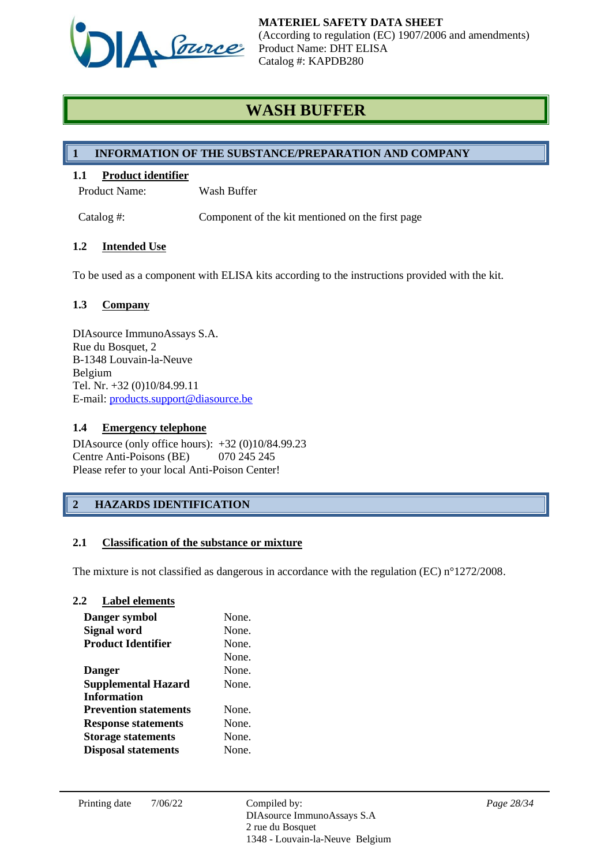

# **WASH BUFFER**

# **1 INFORMATION OF THE SUBSTANCE/PREPARATION AND COMPANY**

# **1.1 Product identifier**

Product Name: Wash Buffer

Catalog #: Component of the kit mentioned on the first page

# **1.2 Intended Use**

To be used as a component with ELISA kits according to the instructions provided with the kit.

# **1.3 Company**

DIAsource ImmunoAssays S.A. Rue du Bosquet, 2 B-1348 Louvain-la-Neuve Belgium Tel. Nr. +32 (0)10/84.99.11 E-mail: [products.support@diasource.be](mailto:products.support@diasource.be)

# **1.4 Emergency telephone**

DIAsource (only office hours): +32 (0)10/84.99.23 Centre Anti-Poisons (BE) 070 245 245 Please refer to your local Anti-Poison Center!

# **2 HAZARDS IDENTIFICATION**

# **2.1 Classification of the substance or mixture**

The mixture is not classified as dangerous in accordance with the regulation (EC) n°1272/2008.

# **2.2 Label elements**

| Danger symbol                | None. |
|------------------------------|-------|
| <b>Signal word</b>           | None. |
| <b>Product Identifier</b>    | None. |
|                              | None. |
| <b>Danger</b>                | None. |
| <b>Supplemental Hazard</b>   | None. |
| <b>Information</b>           |       |
| <b>Prevention statements</b> | None  |
| <b>Response statements</b>   | None. |
| <b>Storage statements</b>    | None. |
| <b>Disposal statements</b>   | None. |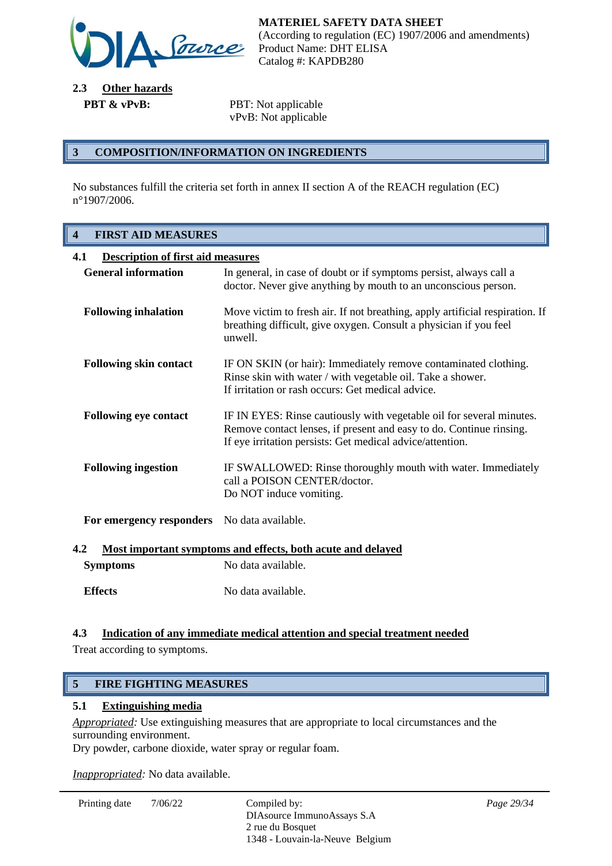

**2.3 Other hazards PBT & vPvB:** PBT: Not applicable

vPvB: Not applicable

### **3 COMPOSITION/INFORMATION ON INGREDIENTS**

No substances fulfill the criteria set forth in annex II section A of the REACH regulation (EC) n°1907/2006.

# **4 FIRST AID MEASURES**

| 4.1<br><b>Description of first aid measures</b>                    |                                                                                                                                                                                                          |  |
|--------------------------------------------------------------------|----------------------------------------------------------------------------------------------------------------------------------------------------------------------------------------------------------|--|
| <b>General information</b>                                         | In general, in case of doubt or if symptoms persist, always call a<br>doctor. Never give anything by mouth to an unconscious person.                                                                     |  |
| <b>Following inhalation</b>                                        | Move victim to fresh air. If not breathing, apply artificial respiration. If<br>breathing difficult, give oxygen. Consult a physician if you feel<br>unwell.                                             |  |
| <b>Following skin contact</b>                                      | IF ON SKIN (or hair): Immediately remove contaminated clothing.<br>Rinse skin with water / with vegetable oil. Take a shower.<br>If irritation or rash occurs: Get medical advice.                       |  |
| <b>Following eye contact</b>                                       | IF IN EYES: Rinse cautiously with vegetable oil for several minutes.<br>Remove contact lenses, if present and easy to do. Continue rinsing.<br>If eye irritation persists: Get medical advice/attention. |  |
| <b>Following ingestion</b>                                         | IF SWALLOWED: Rinse thoroughly mouth with water. Immediately<br>call a POISON CENTER/doctor.<br>Do NOT induce vomiting.                                                                                  |  |
| For emergency responders                                           | No data available.                                                                                                                                                                                       |  |
| 4.2<br>Most important symptoms and effects, both acute and delayed |                                                                                                                                                                                                          |  |

| <b>Symptoms</b> | No data available. |
|-----------------|--------------------|
| <b>Effects</b>  | No data available. |

# **4.3 Indication of any immediate medical attention and special treatment needed**

Treat according to symptoms.

# **5 FIRE FIGHTING MEASURES**

#### **5.1 Extinguishing media**

*Appropriated:* Use extinguishing measures that are appropriate to local circumstances and the surrounding environment.

Dry powder, carbone dioxide, water spray or regular foam.

*Inappropriated:* No data available.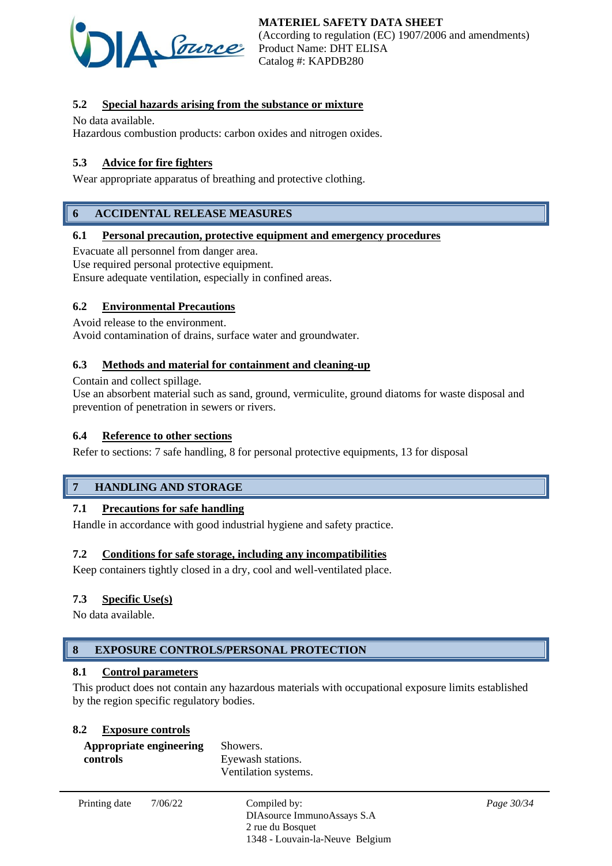

# **5.2 Special hazards arising from the substance or mixture**

No data available.

Hazardous combustion products: carbon oxides and nitrogen oxides.

# **5.3 Advice for fire fighters**

Wear appropriate apparatus of breathing and protective clothing.

# **6 ACCIDENTAL RELEASE MEASURES**

#### **6.1 Personal precaution, protective equipment and emergency procedures**

Evacuate all personnel from danger area.

Use required personal protective equipment.

Ensure adequate ventilation, especially in confined areas.

#### **6.2 Environmental Precautions**

Avoid release to the environment.

Avoid contamination of drains, surface water and groundwater.

#### **6.3 Methods and material for containment and cleaning-up**

Contain and collect spillage.

Use an absorbent material such as sand, ground, vermiculite, ground diatoms for waste disposal and prevention of penetration in sewers or rivers.

#### **6.4 Reference to other sections**

Refer to sections: 7 safe handling, 8 for personal protective equipments, 13 for disposal

#### **7 HANDLING AND STORAGE**

#### **7.1 Precautions for safe handling**

Handle in accordance with good industrial hygiene and safety practice.

#### **7.2 Conditions for safe storage, including any incompatibilities**

Keep containers tightly closed in a dry, cool and well-ventilated place.

#### **7.3 Specific Use(s)**

No data available.

# **8 EXPOSURE CONTROLS/PERSONAL PROTECTION**

#### **8.1 Control parameters**

This product does not contain any hazardous materials with occupational exposure limits established by the region specific regulatory bodies.

#### **8.2 Exposure controls**

| Appropriate engineering | Showers.             |
|-------------------------|----------------------|
| controls                | Eyewash stations.    |
|                         | Ventilation systems. |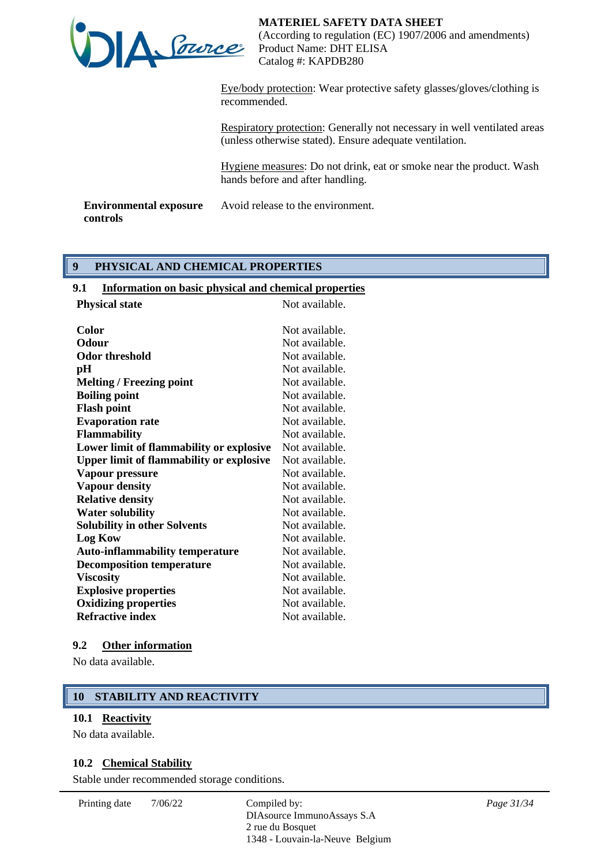

Eye/body protection: Wear protective safety glasses/gloves/clothing is recommended.

Respiratory protection: Generally not necessary in well ventilated areas (unless otherwise stated). Ensure adequate ventilation.

Hygiene measures: Do not drink, eat or smoke near the product. Wash hands before and after handling.

**Environmental exposure controls** Avoid release to the environment.

# **9 PHYSICAL AND CHEMICAL PROPERTIES**

### **9.1 Information on basic physical and chemical properties**

| <b>Physical state</b>                           | Not available. |
|-------------------------------------------------|----------------|
| Color                                           | Not available. |
| <b>Odour</b>                                    | Not available. |
| <b>Odor threshold</b>                           | Not available. |
| pH                                              | Not available. |
| <b>Melting / Freezing point</b>                 | Not available. |
| <b>Boiling point</b>                            | Not available. |
| <b>Flash point</b>                              | Not available. |
| <b>Evaporation rate</b>                         | Not available. |
| <b>Flammability</b>                             | Not available. |
| Lower limit of flammability or explosive        | Not available. |
| <b>Upper limit of flammability or explosive</b> | Not available. |
| Vapour pressure                                 | Not available. |
| <b>Vapour density</b>                           | Not available. |
| <b>Relative density</b>                         | Not available. |
| <b>Water solubility</b>                         | Not available. |
| <b>Solubility in other Solvents</b>             | Not available. |
| <b>Log Kow</b>                                  | Not available. |
| <b>Auto-inflammability temperature</b>          | Not available. |
| <b>Decomposition temperature</b>                | Not available. |
| <b>Viscosity</b>                                | Not available. |
| <b>Explosive properties</b>                     | Not available. |
| <b>Oxidizing properties</b>                     | Not available. |
| <b>Refractive index</b>                         | Not available. |
|                                                 |                |

#### **9.2 Other information**

No data available.

# **10 STABILITY AND REACTIVITY**

#### **10.1 Reactivity**

No data available.

#### **10.2 Chemical Stability**

Stable under recommended storage conditions.

Printing date  $7/06/22$  Compiled by:

DIAsource ImmunoAssays S.A 2 rue du Bosquet 1348 - Louvain-la-Neuve Belgium *Page 31/34*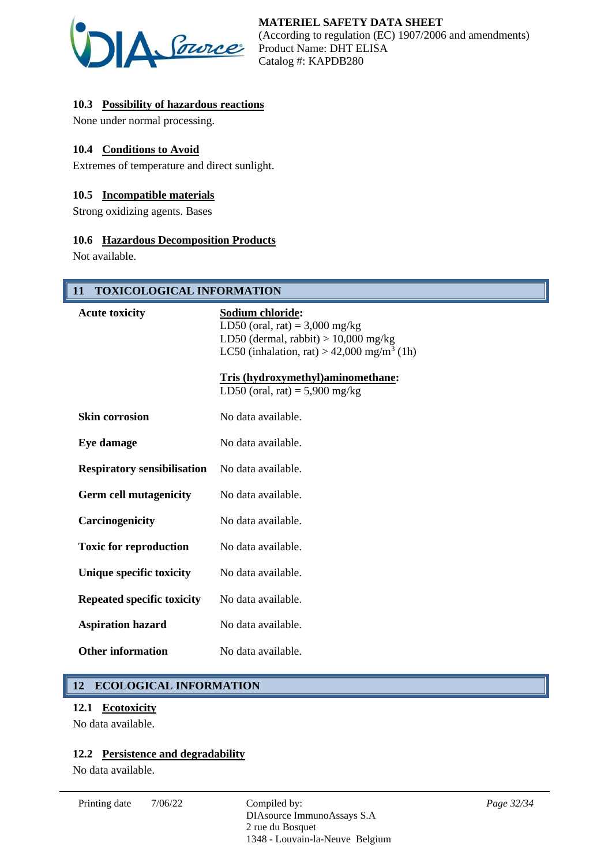

# **10.3 Possibility of hazardous reactions**

None under normal processing.

### **10.4 Conditions to Avoid**

Extremes of temperature and direct sunlight.

#### **10.5 Incompatible materials**

Strong oxidizing agents. Bases

#### **10.6 Hazardous Decomposition Products**

Not available.

# **11 TOXICOLOGICAL INFORMATION**

| <b>Acute toxicity</b>              | Sodium chloride:<br>LD50 (oral, rat) = $3,000$ mg/kg<br>LD50 (dermal, rabbit) $> 10,000$ mg/kg<br>LC50 (inhalation, rat) > 42,000 mg/m <sup>3</sup> (1h) |
|------------------------------------|----------------------------------------------------------------------------------------------------------------------------------------------------------|
|                                    | Tris (hydroxymethyl)aminomethane:<br>LD50 (oral, rat) = $5,900$ mg/kg                                                                                    |
| <b>Skin corrosion</b>              | No data available.                                                                                                                                       |
| Eye damage                         | No data available.                                                                                                                                       |
| <b>Respiratory sensibilisation</b> | No data available.                                                                                                                                       |
| <b>Germ cell mutagenicity</b>      | No data available.                                                                                                                                       |
| Carcinogenicity                    | No data available.                                                                                                                                       |
| <b>Toxic for reproduction</b>      | No data available.                                                                                                                                       |
| Unique specific toxicity           | No data available.                                                                                                                                       |
| <b>Repeated specific toxicity</b>  | No data available.                                                                                                                                       |
| <b>Aspiration hazard</b>           | No data available.                                                                                                                                       |
| <b>Other information</b>           | No data available.                                                                                                                                       |

# **12 ECOLOGICAL INFORMATION**

#### **12.1 Ecotoxicity**

No data available.

## **12.2 Persistence and degradability**

No data available.

Printing date  $7/06/22$  Compiled by: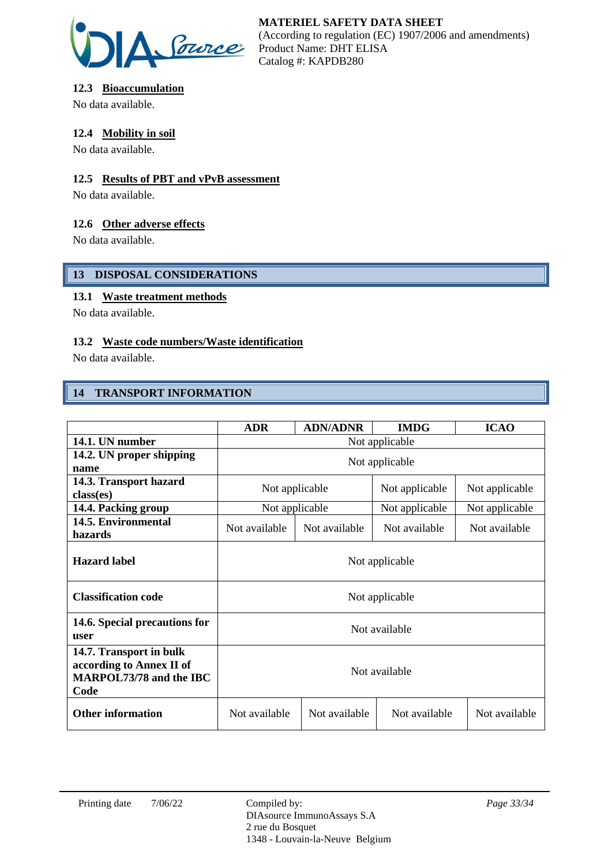

# **12.3 Bioaccumulation**

No data available.

# **12.4 Mobility in soil**

No data available.

# **12.5 Results of PBT and vPvB assessment**

No data available.

# **12.6 Other adverse effects**

No data available.

# **13 DISPOSAL CONSIDERATIONS**

# **13.1 Waste treatment methods**

No data available.

# **13.2 Waste code numbers/Waste identification**

No data available.

# **14 TRANSPORT INFORMATION**

|                                                                                        | <b>ADR</b>     | <b>ADN/ADNR</b> | <b>IMDG</b>    | <b>ICAO</b>    |
|----------------------------------------------------------------------------------------|----------------|-----------------|----------------|----------------|
| 14.1. UN number                                                                        | Not applicable |                 |                |                |
| 14.2. UN proper shipping<br>name                                                       | Not applicable |                 |                |                |
| 14.3. Transport hazard<br>class(es)                                                    | Not applicable |                 | Not applicable | Not applicable |
| 14.4. Packing group                                                                    | Not applicable |                 | Not applicable | Not applicable |
| 14.5. Environmental<br>hazards                                                         | Not available  | Not available   | Not available  | Not available  |
| <b>Hazard label</b>                                                                    | Not applicable |                 |                |                |
| <b>Classification code</b>                                                             | Not applicable |                 |                |                |
| 14.6. Special precautions for<br>user                                                  | Not available  |                 |                |                |
| 14.7. Transport in bulk<br>according to Annex II of<br>MARPOL73/78 and the IBC<br>Code | Not available  |                 |                |                |
| <b>Other information</b>                                                               | Not available  | Not available   | Not available  | Not available  |